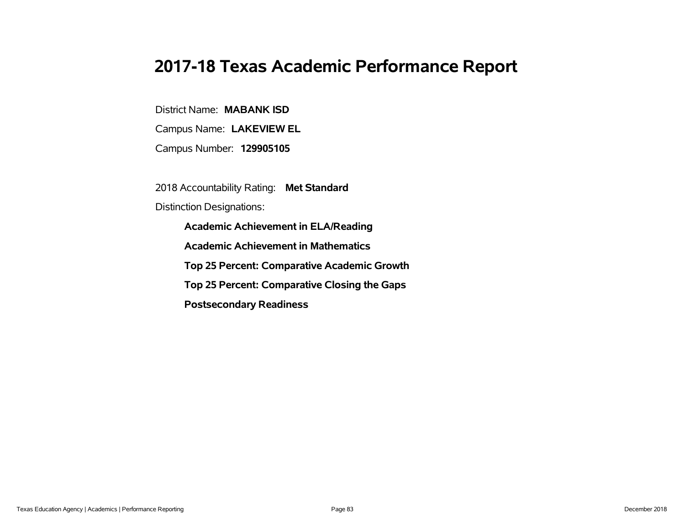# **2017-18 Texas Academic Performance Report**

District Name: **MABANK ISD**

Campus Name: **LAKEVIEW EL**

Campus Number: **129905105**

2018 Accountability Rating: **Met Standard**

Distinction Designations:

**Academic Achievement in ELA/Reading**

**Academic Achievement in Mathematics**

**Top 25 Percent: Comparative Academic Growth**

**Top 25 Percent: Comparative Closing the Gaps**

**Postsecondary Readiness**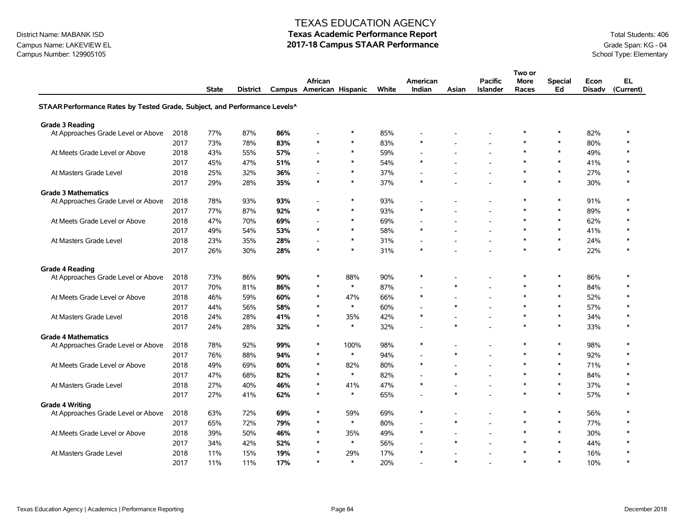Campus Name: LAKEVIEW EL **2017-18 Campus STAAR Performance** Grade Span: KG - 04<br>Campus Number: 129905105 Campus Number: 129905105

### TEXAS EDUCATION AGENCY

|                                                                           |      |              |          |     |                          |        |       |                |                          |                          | Two or               |                |                       |           |
|---------------------------------------------------------------------------|------|--------------|----------|-----|--------------------------|--------|-------|----------------|--------------------------|--------------------------|----------------------|----------------|-----------------------|-----------|
|                                                                           |      |              |          |     | <b>African</b>           |        |       | American       |                          | <b>Pacific</b>           | <b>More</b><br>Races | <b>Special</b> | Econ<br><b>Disadv</b> | EL        |
|                                                                           |      | <b>State</b> | District |     | Campus American Hispanic |        | White | Indian         | Asian                    | <b>Islander</b>          |                      | Ed             |                       | (Current) |
| STAAR Performance Rates by Tested Grade, Subject, and Performance Levels^ |      |              |          |     |                          |        |       |                |                          |                          |                      |                |                       |           |
| <b>Grade 3 Reading</b>                                                    |      |              |          |     |                          |        |       |                |                          |                          |                      |                |                       |           |
| At Approaches Grade Level or Above                                        | 2018 | 77%          | 87%      | 86% |                          | $\ast$ | 85%   |                |                          |                          | $\ast$               | $\ast$         | 82%                   | $\ast$    |
|                                                                           | 2017 | 73%          | 78%      | 83% | $\ast$                   | $\ast$ | 83%   | $\ast$         |                          |                          | $\ast$               | $\ast$         | 80%                   | $\ast$    |
| At Meets Grade Level or Above                                             | 2018 | 43%          | 55%      | 57% |                          | $\ast$ | 59%   | L,             |                          |                          | $\ast$               | $\ast$         | 49%                   | $\ast$    |
|                                                                           | 2017 | 45%          | 47%      | 51% | $\ast$                   | $\ast$ | 54%   | $\ast$         |                          |                          | $\ast$               | $\ast$         | 41%                   | $\ast$    |
| At Masters Grade Level                                                    | 2018 | 25%          | 32%      | 36% |                          | $\ast$ | 37%   |                |                          |                          |                      | $\ast$         | 27%                   | $\ast$    |
|                                                                           | 2017 | 29%          | 28%      | 35% | $\ast$                   | $\ast$ | 37%   | $\ast$         |                          |                          | $\ast$               | $\ast$         | 30%                   | $\ast$    |
| <b>Grade 3 Mathematics</b>                                                |      |              |          |     |                          |        |       |                |                          |                          |                      |                |                       |           |
| At Approaches Grade Level or Above                                        | 2018 | 78%          | 93%      | 93% |                          | $\ast$ | 93%   | $\overline{a}$ |                          |                          | $\ast$               | $\ast$         | 91%                   | $\ast$    |
|                                                                           | 2017 | 77%          | 87%      | 92% | $\ast$                   | $\ast$ | 93%   | $\ast$         |                          |                          | $\ast$               | $\ast$         | 89%                   | $\ast$    |
| At Meets Grade Level or Above                                             | 2018 | 47%          | 70%      | 69% |                          | $\ast$ | 69%   | ÷,             | $\overline{\phantom{a}}$ |                          | $\ast$               | $\ast$         | 62%                   | $\ast$    |
|                                                                           | 2017 | 49%          | 54%      | 53% | $\ast$                   | $\ast$ | 58%   | $\ast$         |                          |                          | $\ast$               | $\ast$         | 41%                   | $\ast$    |
| At Masters Grade Level                                                    | 2018 | 23%          | 35%      | 28% |                          | $\ast$ | 31%   |                |                          |                          | $\ast$               | $\ast$         | 24%                   | $\ast$    |
|                                                                           | 2017 | 26%          | 30%      | 28% | $\ast$                   | $\ast$ | 31%   | $\ast$         |                          |                          | $\ast$               | $\ast$         | 22%                   | $\ast$    |
| <b>Grade 4 Reading</b>                                                    |      |              |          |     |                          |        |       |                |                          |                          |                      |                |                       |           |
| At Approaches Grade Level or Above                                        | 2018 | 73%          | 86%      | 90% | $\ast$                   | 88%    | 90%   | $\ast$         |                          |                          | $\ast$               | $\ast$         | 86%                   | $\ast$    |
|                                                                           | 2017 | 70%          | 81%      | 86% | $\ast$                   | $\ast$ | 87%   |                | $\ast$                   |                          | $\ast$               | $\ast$         | 84%                   | $\ast$    |
| At Meets Grade Level or Above                                             | 2018 | 46%          | 59%      | 60% | $\ast$                   | 47%    | 66%   | $\ast$         |                          |                          | $\ast$               | $\ast$         | 52%                   | $\ast$    |
|                                                                           | 2017 | 44%          | 56%      | 58% | $\ast$                   | $\ast$ | 60%   | $\overline{a}$ | $\ast$                   |                          | $\ast$               | $\ast$         | 57%                   | $\ast$    |
| At Masters Grade Level                                                    | 2018 | 24%          | 28%      | 41% | $\ast$                   | 35%    | 42%   | $\ast$         |                          |                          | $\ast$               | $\ast$         | 34%                   | $\ast$    |
|                                                                           | 2017 | 24%          | 28%      | 32% | $\ast$                   | $\ast$ | 32%   | $\blacksquare$ | $\ast$                   |                          | $\ast$               | $\ast$         | 33%                   | $\ast$    |
| <b>Grade 4 Mathematics</b>                                                |      |              |          |     |                          |        |       |                |                          |                          |                      |                |                       |           |
| At Approaches Grade Level or Above                                        | 2018 | 78%          | 92%      | 99% | $\ast$                   | 100%   | 98%   | $\ast$         | $\overline{\phantom{a}}$ |                          | $\ast$               | $\ast$         | 98%                   | $\ast$    |
|                                                                           | 2017 | 76%          | 88%      | 94% | $\ast$                   | $\ast$ | 94%   |                | $\ast$                   |                          | $\ast$               | $\ast$         | 92%                   | $\ast$    |
| At Meets Grade Level or Above                                             | 2018 | 49%          | 69%      | 80% | $\ast$                   | 82%    | 80%   | $\ast$         |                          |                          | $\ast$               | $\ast$         | 71%                   | $\ast$    |
|                                                                           | 2017 | 47%          | 68%      | 82% | $\ast$                   | $\ast$ | 82%   | L,             | $\ast$                   |                          | $\ast$               | $\ast$         | 84%                   | $\ast$    |
| At Masters Grade Level                                                    | 2018 | 27%          | 40%      | 46% | $\ast$                   | 41%    | 47%   | $\ast$         | $\overline{\phantom{a}}$ |                          | $\ast$               | $\ast$         | 37%                   | $\ast$    |
|                                                                           | 2017 | 27%          | 41%      | 62% | $\ast$                   | $\ast$ | 65%   |                | $\ast$                   |                          | $\ast$               | $\ast$         | 57%                   | $\ast$    |
| <b>Grade 4 Writing</b>                                                    |      |              |          |     |                          |        |       |                |                          |                          |                      |                |                       |           |
| At Approaches Grade Level or Above                                        | 2018 | 63%          | 72%      | 69% | $\ast$                   | 59%    | 69%   | $\ast$         |                          |                          | $\ast$               | $\ast$         | 56%                   | $\ast$    |
|                                                                           | 2017 | 65%          | 72%      | 79% | $\ast$                   | $\ast$ | 80%   | $\overline{a}$ | $\ast$                   |                          | $\ast$               | $\ast$         | 77%                   | $\ast$    |
| At Meets Grade Level or Above                                             | 2018 | 39%          | 50%      | 46% | $\ast$                   | 35%    | 49%   | $\ast$         | $\overline{\phantom{a}}$ | $\overline{\phantom{a}}$ | $\ast$               | $\ast$         | 30%                   | $\ast$    |
|                                                                           | 2017 | 34%          | 42%      | 52% | $\ast$                   | $\ast$ | 56%   | L,             | $\ast$                   |                          | $\ast$               | $\ast$         | 44%                   |           |
| At Masters Grade Level                                                    | 2018 | 11%          | 15%      | 19% |                          | 29%    | 17%   | $\ast$         |                          |                          | $\ast$               | $\ast$         | 16%                   |           |
|                                                                           | 2017 | 11%          | 11%      | 17% | $\ast$                   | $\ast$ | 20%   |                | $\ast$                   |                          | $\ast$               | $\ast$         | 10%                   | $\ast$    |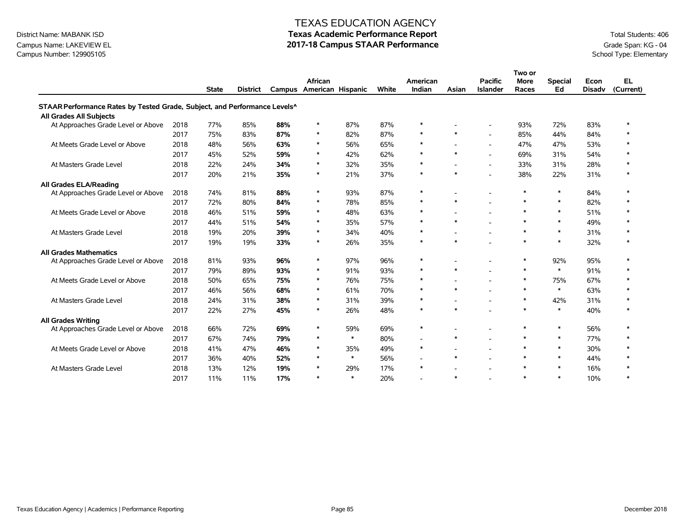### Campus Name: LAKEVIEW EL **2017-18 Campus STAAR Performance** Grade Span: KG - 04<br>Campus Number: 129905105 Campus Number: 129905105

### TEXAS EDUCATION AGENCY

|                                                                           |      |              |                 |     |                                     |        |       |                          |                          |                                   | Two or               |                      |                       |                        |
|---------------------------------------------------------------------------|------|--------------|-----------------|-----|-------------------------------------|--------|-------|--------------------------|--------------------------|-----------------------------------|----------------------|----------------------|-----------------------|------------------------|
|                                                                           |      | <b>State</b> | <b>District</b> |     | African<br>Campus American Hispanic |        | White | American<br>Indian       | Asian                    | <b>Pacific</b><br><b>Islander</b> | <b>More</b><br>Races | <b>Special</b><br>Ed | Econ<br><b>Disadv</b> | <b>EL</b><br>(Current) |
| STAAR Performance Rates by Tested Grade, Subject, and Performance Levels^ |      |              |                 |     |                                     |        |       |                          |                          |                                   |                      |                      |                       |                        |
| All Grades All Subjects                                                   |      |              |                 |     |                                     |        |       |                          |                          |                                   |                      |                      |                       |                        |
| At Approaches Grade Level or Above                                        | 2018 | 77%          | 85%             | 88% | $\ast$                              | 87%    | 87%   | $\ast$                   |                          |                                   | 93%                  | 72%                  | 83%                   | $\ast$                 |
|                                                                           | 2017 | 75%          | 83%             | 87% | $\ast$                              | 82%    | 87%   | $\ast$                   | $\ast$                   | ÷                                 | 85%                  | 44%                  | 84%                   |                        |
| At Meets Grade Level or Above                                             | 2018 | 48%          | 56%             | 63% | $\ast$                              | 56%    | 65%   | $\ast$                   |                          |                                   | 47%                  | 47%                  | 53%                   |                        |
|                                                                           | 2017 | 45%          | 52%             | 59% | $\ast$                              | 42%    | 62%   | $\ast$                   | $\ast$                   |                                   | 69%                  | 31%                  | 54%                   |                        |
| At Masters Grade Level                                                    | 2018 | 22%          | 24%             | 34% | $\ast$                              | 32%    | 35%   | $\ast$                   |                          | $\blacksquare$                    | 33%                  | 31%                  | 28%                   |                        |
|                                                                           | 2017 | 20%          | 21%             | 35% | $\ast$                              | 21%    | 37%   | $\ast$                   | $\ast$                   |                                   | 38%                  | 22%                  | 31%                   | $\ast$                 |
| All Grades ELA/Reading                                                    |      |              |                 |     |                                     |        |       |                          |                          |                                   |                      |                      |                       |                        |
| At Approaches Grade Level or Above                                        | 2018 | 74%          | 81%             | 88% | $\ast$                              | 93%    | 87%   | $\ast$                   | $\overline{\phantom{a}}$ | $\blacksquare$                    | $\ast$               | $\ast$               | 84%                   | $\ast$                 |
|                                                                           | 2017 | 72%          | 80%             | 84% | $\ast$                              | 78%    | 85%   | $\ast$                   | $\ast$                   |                                   | $\ast$               | $\ast$               | 82%                   |                        |
| At Meets Grade Level or Above                                             | 2018 | 46%          | 51%             | 59% | $\ast$                              | 48%    | 63%   | $\ast$                   |                          |                                   | $\ast$               | $\ast$               | 51%                   |                        |
|                                                                           | 2017 | 44%          | 51%             | 54% | $\ast$                              | 35%    | 57%   | $\ast$                   | $\ast$                   | ÷                                 | $\ast$               | $\ast$               | 49%                   |                        |
| At Masters Grade Level                                                    | 2018 | 19%          | 20%             | 39% | $\ast$                              | 34%    | 40%   | $\ast$                   |                          | $\overline{\phantom{a}}$          | $\ast$               | $\ast$               | 31%                   |                        |
|                                                                           | 2017 | 19%          | 19%             | 33% | $\ast$                              | 26%    | 35%   | $\ast$                   | $\ast$                   |                                   | $\ast$               | $\ast$               | 32%                   |                        |
| <b>All Grades Mathematics</b>                                             |      |              |                 |     |                                     |        |       |                          |                          |                                   |                      |                      |                       |                        |
| At Approaches Grade Level or Above                                        | 2018 | 81%          | 93%             | 96% | $\ast$                              | 97%    | 96%   | $\ast$                   |                          | ٠                                 | $\ast$               | 92%                  | 95%                   |                        |
|                                                                           | 2017 | 79%          | 89%             | 93% | $\ast$                              | 91%    | 93%   | $\ast$                   | $\ast$                   | ٠                                 | $\ast$               | $\ast$               | 91%                   | $\ast$                 |
| At Meets Grade Level or Above                                             | 2018 | 50%          | 65%             | 75% | $\ast$                              | 76%    | 75%   | $\ast$                   |                          | $\blacksquare$                    | $\ast$               | 75%                  | 67%                   |                        |
|                                                                           | 2017 | 46%          | 56%             | 68% | $\ast$                              | 61%    | 70%   | $\ast$                   | $\ast$                   |                                   | $\ast$               | $\ast$               | 63%                   | $\ast$                 |
| At Masters Grade Level                                                    | 2018 | 24%          | 31%             | 38% | $\ast$                              | 31%    | 39%   | $\ast$                   |                          |                                   | $\ast$               | 42%                  | 31%                   |                        |
|                                                                           | 2017 | 22%          | 27%             | 45% | $\ast$                              | 26%    | 48%   | $\ast$                   | $\ast$                   |                                   | $\ast$               | $\ast$               | 40%                   |                        |
| <b>All Grades Writing</b>                                                 |      |              |                 |     |                                     |        |       |                          |                          |                                   |                      |                      |                       |                        |
| At Approaches Grade Level or Above                                        | 2018 | 66%          | 72%             | 69% | $\ast$                              | 59%    | 69%   | $\ast$                   |                          | ۰                                 | $\ast$               | $\ast$               | 56%                   |                        |
|                                                                           | 2017 | 67%          | 74%             | 79% | $\ast$                              | $\ast$ | 80%   | $\overline{\phantom{a}}$ | $\ast$                   |                                   | $\ast$               | $\ast$               | 77%                   |                        |
| At Meets Grade Level or Above                                             | 2018 | 41%          | 47%             | 46% | $\ast$                              | 35%    | 49%   | $\ast$                   |                          | $\blacksquare$                    | $\ast$               | $\ast$               | 30%                   |                        |
|                                                                           | 2017 | 36%          | 40%             | 52% | $\ast$                              | $\ast$ | 56%   | $\overline{\phantom{a}}$ | $\ast$                   | $\blacksquare$                    | $\ast$               | $\ast$               | 44%                   | $\ast$                 |
| At Masters Grade Level                                                    | 2018 | 13%          | 12%             | 19% | $\ast$                              | 29%    | 17%   | $\ast$                   | $\overline{\phantom{a}}$ | ۰                                 | $\ast$               | $\ast$               | 16%                   |                        |
|                                                                           | 2017 | 11%          | 11%             | 17% | $\ast$                              | $\ast$ | 20%   |                          | $\ast$                   |                                   | $\ast$               | $\ast$               | 10%                   | $\ast$                 |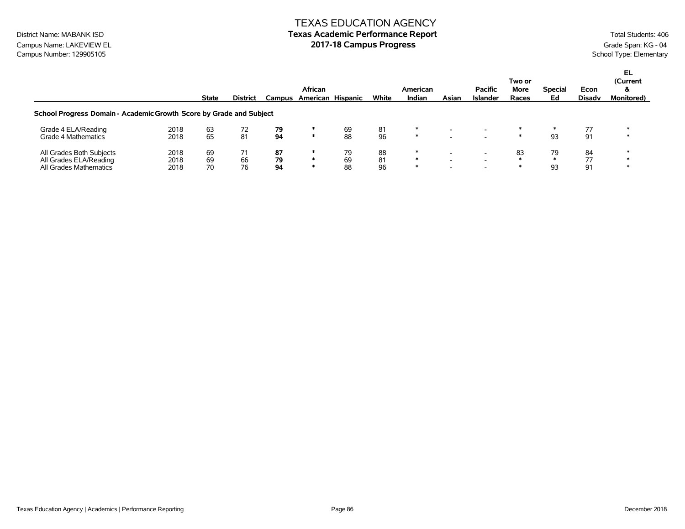### TEXAS EDUCATION AGENCY District Name: MABANK ISD **Texas Academic Performance Report Texas Academic Performance Report** Total Students: 406

Campus Name: LAKEVIEW EL **Campus Progress** Campus Progress Campus Progress Campus Progress Campus Number: 129905105<br>Campus Number: 129905105 Campus Number: 129905105

|                                                                              |                      | <b>State</b>   | <b>District</b> |                | African<br>Campus American Hispanic |                | White          | American<br>Indian | Asian                    | <b>Pacific</b><br>Islander | Two or<br>More<br>Races | <b>Special</b><br>Ed | Econ<br><b>Disadv</b> | EL<br>(Current<br>ă<br><b>Monitored</b> ) |
|------------------------------------------------------------------------------|----------------------|----------------|-----------------|----------------|-------------------------------------|----------------|----------------|--------------------|--------------------------|----------------------------|-------------------------|----------------------|-----------------------|-------------------------------------------|
| School Progress Domain - Academic Growth Score by Grade and Subject          |                      |                |                 |                |                                     |                |                |                    |                          |                            |                         |                      |                       |                                           |
| Grade 4 ELA/Reading<br>Grade 4 Mathematics                                   | 2018<br>2018         | 63<br>65       | 72<br>81        | 79<br>94       | ∗                                   | 69<br>88       | 81<br>96       | ∗                  | $\overline{\phantom{0}}$ |                            |                         | 93                   | 77<br>91              |                                           |
| All Grades Both Subjects<br>All Grades ELA/Reading<br>All Grades Mathematics | 2018<br>2018<br>2018 | 69<br>69<br>70 | 66<br>76        | 87<br>79<br>94 | $\ast$<br>∗                         | 79<br>69<br>88 | 88<br>81<br>96 | ∗<br>$\ast$<br>∗   | -                        |                            | 83                      | 79<br>93             | 84<br>77<br>91        |                                           |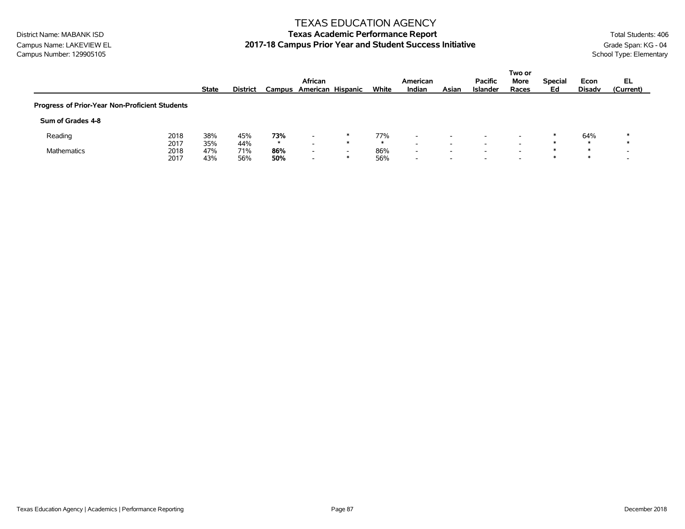### TEXAS EDUCATION AGENCY

# District Name: MABANK ISD **Texas Academic Performance Report Texas Academic Performance Report** Total Students: 406 Campus Name: LAKEVIEW EL **2017-18 Campus Prior Year and Student Success Initiative** Grade Span: KG - 04<br>Campus Number: 129905105<br>School Type: Elementary

|                                                |      |              |                 |         | African                  |                          |       |                          |                          |                                   | Two or                   |                      |                       | EL.       |
|------------------------------------------------|------|--------------|-----------------|---------|--------------------------|--------------------------|-------|--------------------------|--------------------------|-----------------------------------|--------------------------|----------------------|-----------------------|-----------|
|                                                |      | <b>State</b> | <b>District</b> |         | Campus American Hispanic |                          | White | American<br>Indian       | Asian                    | <b>Pacific</b><br><b>Islander</b> | More<br>Races            | <b>Special</b><br>Ed | Econ<br><b>Disady</b> | (Current) |
| Progress of Prior-Year Non-Proficient Students |      |              |                 |         |                          |                          |       |                          |                          |                                   |                          |                      |                       |           |
| Sum of Grades 4-8                              |      |              |                 |         |                          |                          |       |                          |                          |                                   |                          |                      |                       |           |
| Reading                                        | 2018 | 38%          | 45%             | 73%     | $\overline{\phantom{0}}$ | ∗                        | 77%   | $\overline{\phantom{0}}$ | -                        |                                   |                          |                      | 64%                   |           |
|                                                | 2017 | 35%          | 44%             | $\star$ | $\overline{\phantom{0}}$ | $\ast$                   | ∗     | $\overline{\phantom{0}}$ | $\overline{\phantom{0}}$ |                                   |                          |                      |                       |           |
| <b>Mathematics</b>                             | 2018 | 47%          | 71%             | 86%     | $\overline{\phantom{0}}$ | $\overline{\phantom{0}}$ | 86%   | $\overline{\phantom{0}}$ | $\overline{\phantom{0}}$ |                                   |                          | - sk                 | $\ast$                |           |
|                                                | 2017 | 43%          | 56%             | 50%     | $\overline{\phantom{0}}$ | $\ast$                   | 56%   | $\overline{\phantom{0}}$ | -                        |                                   | $\overline{\phantom{0}}$ |                      | ж                     |           |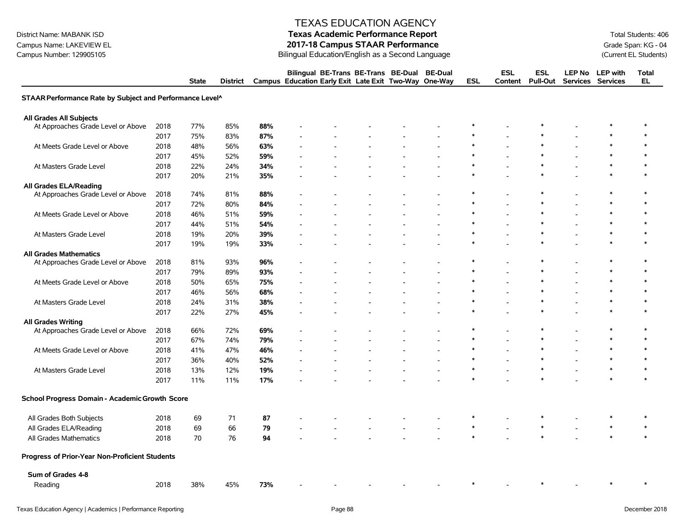Campus Name: LAKEVIEW EL **2017-18 Campus STAAR Performance**<br>Campus Number: 129905105 Campus Number: 129905105 Campus State of Current EL Students)

### TEXAS EDUCATION AGENCY

# District Name: MABANK ISD **Texas Academic Performance Report Texas Academic Performance Report** Total Students: 406

Bilingual Education/English as a Second Language (Current EL Students)

|                                                          |      | <b>State</b> | <b>District</b> |     | Bilingual BE-Trans BE-Trans BE-Dual<br>Campus Education Early Exit Late Exit Two-Way One-Way |  | <b>BE-Dual</b> | <b>ESL</b> | <b>ESL</b><br>Content | <b>ESL</b><br><b>Pull-Out</b> | <b>LEP No</b> | <b>LEP</b> with<br>Services Services | <b>Total</b><br>EL |
|----------------------------------------------------------|------|--------------|-----------------|-----|----------------------------------------------------------------------------------------------|--|----------------|------------|-----------------------|-------------------------------|---------------|--------------------------------------|--------------------|
| STAAR Performance Rate by Subject and Performance Level^ |      |              |                 |     |                                                                                              |  |                |            |                       |                               |               |                                      |                    |
| All Grades All Subjects                                  |      |              |                 |     |                                                                                              |  |                |            |                       |                               |               |                                      |                    |
| At Approaches Grade Level or Above                       | 2018 | 77%          | 85%             | 88% |                                                                                              |  |                |            |                       |                               |               |                                      | ∗                  |
|                                                          | 2017 | 75%          | 83%             | 87% |                                                                                              |  |                |            |                       |                               |               |                                      | $\ast$             |
| At Meets Grade Level or Above                            | 2018 | 48%          | 56%             | 63% |                                                                                              |  |                | $\ast$     |                       | $\ast$                        |               | $\ast$                               | $\ast$             |
|                                                          | 2017 | 45%          | 52%             | 59% |                                                                                              |  |                | $\ast$     |                       | $\ast$                        |               | $\ast$                               | $\ast$             |
| At Masters Grade Level                                   | 2018 | 22%          | 24%             | 34% |                                                                                              |  |                | $\ast$     |                       | $\ast$                        |               | $\ast$                               | $\ast$             |
|                                                          | 2017 | 20%          | 21%             | 35% |                                                                                              |  |                |            |                       |                               |               | $\ast$                               | $\ast$             |
| <b>All Grades ELA/Reading</b>                            |      |              |                 |     |                                                                                              |  |                |            |                       |                               |               |                                      |                    |
| At Approaches Grade Level or Above                       | 2018 | 74%          | 81%             | 88% |                                                                                              |  |                |            |                       |                               |               | $\ast$                               | $\ast$             |
|                                                          | 2017 | 72%          | 80%             | 84% |                                                                                              |  |                |            |                       |                               |               |                                      | $\ast$             |
| At Meets Grade Level or Above                            | 2018 | 46%          | 51%             | 59% |                                                                                              |  |                |            |                       |                               |               |                                      |                    |
|                                                          | 2017 | 44%          | 51%             | 54% |                                                                                              |  |                |            |                       | $\ast$                        |               | $\ast$                               |                    |
| At Masters Grade Level                                   | 2018 | 19%          | 20%             | 39% |                                                                                              |  |                |            |                       |                               |               | $\ast$                               |                    |
|                                                          | 2017 | 19%          | 19%             | 33% |                                                                                              |  |                |            |                       |                               |               | $\ast$                               | $\ast$             |
| <b>All Grades Mathematics</b>                            |      |              |                 |     |                                                                                              |  |                |            |                       |                               |               |                                      |                    |
| At Approaches Grade Level or Above                       | 2018 | 81%          | 93%             | 96% |                                                                                              |  |                |            |                       |                               |               |                                      |                    |
|                                                          | 2017 | 79%          | 89%             | 93% |                                                                                              |  |                |            |                       |                               |               |                                      | $\ast$             |
| At Meets Grade Level or Above                            | 2018 | 50%          | 65%             | 75% |                                                                                              |  |                | $\ast$     |                       | $\ast$                        |               | $\ast$                               | $\ast$             |
|                                                          | 2017 | 46%          | 56%             | 68% |                                                                                              |  |                |            |                       | $\ast$                        |               | $\ast$                               |                    |
| At Masters Grade Level                                   | 2018 | 24%          | 31%             | 38% |                                                                                              |  |                |            |                       |                               |               |                                      |                    |
|                                                          | 2017 | 22%          | 27%             | 45% |                                                                                              |  |                |            |                       |                               |               | $\ast$                               | $\ast$             |
| <b>All Grades Writing</b>                                |      |              |                 |     |                                                                                              |  |                |            |                       |                               |               |                                      |                    |
| At Approaches Grade Level or Above                       | 2018 | 66%          | 72%             | 69% |                                                                                              |  |                |            |                       |                               |               |                                      | ∗                  |
|                                                          | 2017 | 67%          | 74%             | 79% |                                                                                              |  |                | $\ast$     |                       | $\ast$                        |               | $\ast$                               | $\ast$             |
| At Meets Grade Level or Above                            | 2018 | 41%          | 47%             | 46% |                                                                                              |  |                | $\ast$     |                       | $\ast$                        |               | $\ast$                               | $\ast$             |
|                                                          | 2017 | 36%          | 40%             | 52% |                                                                                              |  |                | $\ast$     |                       | $\ast$                        |               | $\ast$                               | $\ast$             |
| At Masters Grade Level                                   | 2018 | 13%          | 12%             | 19% |                                                                                              |  |                | $\ast$     |                       | $\ast$                        |               | $\ast$                               | $\ast$             |
|                                                          | 2017 | 11%          | 11%             | 17% |                                                                                              |  |                | $\star$    |                       | $\ast$                        |               | $\star$                              | $\ast$             |
| School Progress Domain - Academic Growth Score           |      |              |                 |     |                                                                                              |  |                |            |                       |                               |               |                                      |                    |
| All Grades Both Subjects                                 | 2018 | 69           | 71              | 87  |                                                                                              |  |                |            |                       |                               |               |                                      |                    |
| All Grades ELA/Reading                                   | 2018 | 69           | 66              | 79  |                                                                                              |  |                | $\ast$     |                       |                               |               | $\ast$                               | $\ast$             |
| All Grades Mathematics                                   | 2018 | 70           | 76              | 94  |                                                                                              |  |                |            |                       |                               |               |                                      |                    |
| Progress of Prior-Year Non-Proficient Students           |      |              |                 |     |                                                                                              |  |                |            |                       |                               |               |                                      |                    |
| Sum of Grades 4-8                                        |      |              |                 |     |                                                                                              |  |                |            |                       |                               |               |                                      |                    |
| Reading                                                  | 2018 | 38%          | 45%             | 73% |                                                                                              |  |                |            |                       |                               |               |                                      |                    |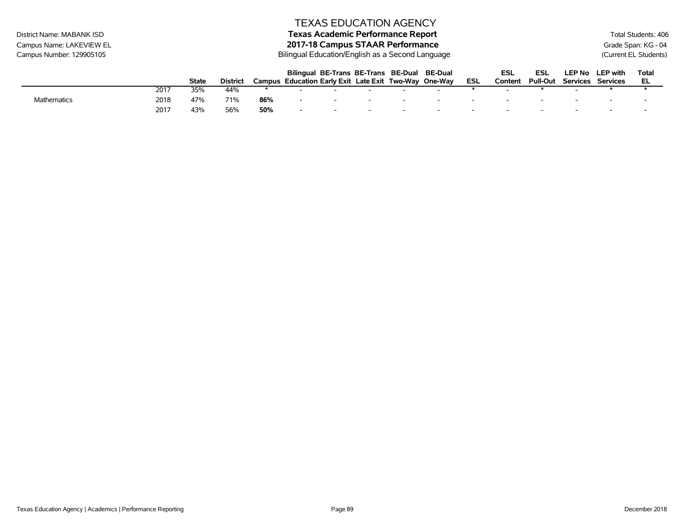# District Name: MABANK ISD **Texas Academic Performance Report Texas Academic Performance Report** Total Students: 406 Campus Name: LAKEVIEW EL **2017-18 Campus STAAR Performance**<br>Campus Number: 129905105 Campus Number: 129905105 Campus State of Current EL Students)

Bilingual Education/English as a Second Language (Current EL Students)

|                    |      |              |          |     | Bilingual BE-Trans BE-Trans BE-Dual BE-Dual           |                          |        |     | ESL     | ESL             | LEP No          | <b>LEP with</b> | Total |
|--------------------|------|--------------|----------|-----|-------------------------------------------------------|--------------------------|--------|-----|---------|-----------------|-----------------|-----------------|-------|
|                    |      | <b>State</b> | District |     | Campus Education Early Exit Late Exit Two-Way One-Way |                          |        | ESL | Content | <b>Pull-Out</b> | <b>Services</b> | Services        | EL    |
|                    | 2017 | 35%          | 44%      |     |                                                       |                          |        |     |         |                 |                 |                 |       |
| <b>Mathematics</b> | 2018 | 47%          | 71%      | 86% | -                                                     | $\overline{\phantom{0}}$ | $\sim$ |     |         |                 |                 |                 |       |
|                    | 2017 | 43%          | 56%      | 50% |                                                       | $\overline{\phantom{0}}$ |        |     |         |                 |                 |                 |       |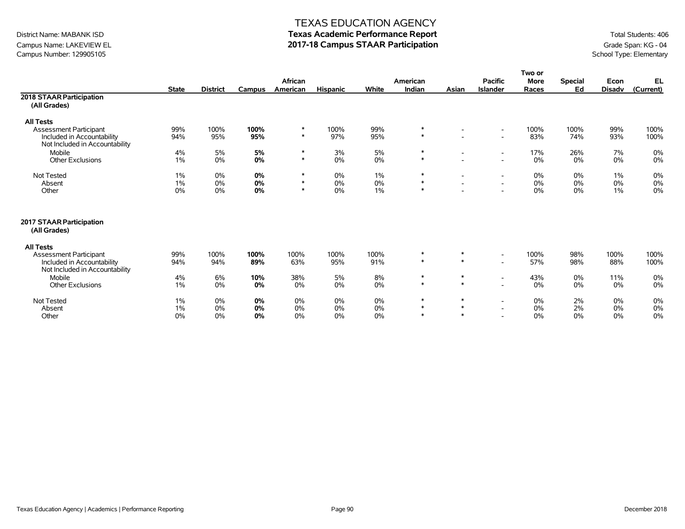## Campus Name: LAKEVIEW EL **2017-18 Campus STAAR Participation**<br>Campus Number: 129905105 Campus Number: 129905105 Campus Number: 129905105

### TEXAS EDUCATION AGENCY

# District Name: MABANK ISD **Texas Academic Performance Report** Total Students: 406

|                                                              |              |                 |               |             |                 |             |                  |                          |                                                      | Two or      |                |               |              |
|--------------------------------------------------------------|--------------|-----------------|---------------|-------------|-----------------|-------------|------------------|--------------------------|------------------------------------------------------|-------------|----------------|---------------|--------------|
|                                                              |              |                 |               | African     |                 |             | American         |                          | <b>Pacific</b>                                       | <b>More</b> | <b>Special</b> | Econ          | EL           |
|                                                              | <b>State</b> | <b>District</b> | <b>Campus</b> | American    | <b>Hispanic</b> | White       | Indian           | Asian                    | <b>Islander</b>                                      | Races       | Ed             | <b>Disadv</b> | (Current)    |
| 2018 STAAR Participation<br>(All Grades)                     |              |                 |               |             |                 |             |                  |                          |                                                      |             |                |               |              |
| <b>All Tests</b>                                             |              |                 |               |             |                 |             |                  |                          |                                                      |             |                |               |              |
| <b>Assessment Participant</b>                                | 99%          | 100%            | 100%          | $\ast$      | 100%            | 99%         | $\ast$           | $\overline{\phantom{a}}$ | $\overline{\phantom{a}}$                             | 100%        | 100%           | 99%           | 100%         |
| Included in Accountability<br>Not Included in Accountability | 94%          | 95%             | 95%           | $\ast$      | 97%             | 95%         | $\ast$           |                          | $\overline{\phantom{a}}$                             | 83%         | 74%            | 93%           | 100%         |
| Mobile                                                       | 4%           | 5%              | 5%            | $\ast$      | 3%              | 5%          | $\ast$           | $\sim$                   | $\overline{\phantom{a}}$                             | 17%         | 26%            | 7%            | $0\%$        |
| Other Exclusions                                             | $1\%$        | 0%              | 0%            | $\ast$      | $0\%$           | 0%          | $\ast$           |                          | $\overline{\phantom{a}}$                             | 0%          | 0%             | 0%            | 0%           |
| <b>Not Tested</b>                                            | 1%           | 0%              | 0%            | $\ast$      | $0\%$           | $1\%$       | $\ast$           | $\overline{\phantom{a}}$ | $\overline{\phantom{a}}$                             | 0%          | 0%             | 1%            | 0%           |
| Absent                                                       | $1\%$        | 0%              | 0%            | $\ast$      | 0%              | 0%          | $\ast$           | $\overline{\phantom{0}}$ | $\overline{\phantom{a}}$                             | 0%          | 0%             | 0%            | $0\%$        |
| Other                                                        | 0%           | 0%              | 0%            | $\ast$      | 0%              | $1\%$       | $\ast$           |                          | $\overline{\phantom{a}}$                             | 0%          | 0%             | 1%            | 0%           |
| 2017 STAAR Participation<br>(All Grades)                     |              |                 |               |             |                 |             |                  |                          |                                                      |             |                |               |              |
| <b>All Tests</b>                                             |              |                 |               |             |                 |             |                  |                          |                                                      |             |                |               |              |
| <b>Assessment Participant</b><br>Included in Accountability  | 99%<br>94%   | 100%<br>94%     | 100%<br>89%   | 100%<br>63% | 100%<br>95%     | 100%<br>91% | $\ast$<br>$*$    | $\ast$<br>$\ast$         | $\overline{\phantom{a}}$<br>$\overline{\phantom{a}}$ | 100%<br>57% | 98%<br>98%     | 100%<br>88%   | 100%<br>100% |
| Not Included in Accountability                               |              |                 |               |             |                 |             |                  |                          |                                                      |             |                |               |              |
| Mobile                                                       | 4%           | 6%              | 10%           | 38%         | 5%              | 8%          | $\ast$<br>$\ast$ | $\ast$<br>$*$            | $\overline{\phantom{a}}$                             | 43%         | 0%             | 11%           | 0%           |
| <b>Other Exclusions</b>                                      | 1%           | 0%              | 0%            | 0%          | $0\%$           | $0\%$       |                  |                          | $\overline{\phantom{a}}$                             | 0%          | 0%             | 0%            | 0%           |
| <b>Not Tested</b>                                            | 1%           | 0%              | 0%            | 0%          | $0\%$           | 0%          | $\ast$           | $\ast$                   | $\overline{\phantom{a}}$                             | 0%          | 2%             | 0%            | 0%           |
| Absent                                                       | $1\%$        | 0%              | 0%            | 0%          | 0%              | 0%          | $*$              | $*$                      | $\overline{\phantom{a}}$                             | 0%          | 2%             | 0%            | $0\%$        |
| Other                                                        | 0%           | 0%              | 0%            | 0%          | $0\%$           | 0%          | $\ast$           | $\ast$                   |                                                      | 0%          | 0%             | 0%            | 0%           |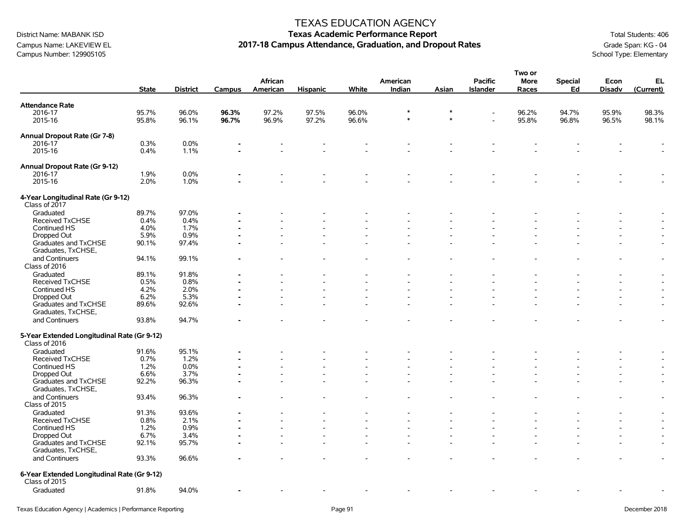# Campus Name: LAKEVIEW EL **2017-18 Campus Attendance, Graduation, and Dropout Rates** Grampus Number: 129905105 Campus Number: 129905105 Campus Attendance, Graduation, and Dropout Rates Campus Number: 129905105 Campus Number: 129905105

### TEXAS EDUCATION AGENCY

|                                                              |              |                 |        |          |                 |       |          |        |                | Two or      |                |               |                          |
|--------------------------------------------------------------|--------------|-----------------|--------|----------|-----------------|-------|----------|--------|----------------|-------------|----------------|---------------|--------------------------|
|                                                              |              |                 |        | African  |                 |       | American |        | <b>Pacific</b> | <b>More</b> | <b>Special</b> | Econ          | EL                       |
|                                                              | <b>State</b> | <b>District</b> | Campus | American | <b>Hispanic</b> | White | Indian   | Asian  | Islander       | Races       | Ed             | <b>Disadv</b> | (Current)                |
| <b>Attendance Rate</b>                                       |              |                 |        |          |                 |       |          |        |                |             |                |               |                          |
| 2016-17                                                      | 95.7%        | 96.0%           | 96.3%  | 97.2%    | 97.5%           | 96.0% |          |        |                | 96.2%       | 94.7%          | 95.9%         | 98.3%                    |
| 2015-16                                                      | 95.8%        | 96.1%           | 96.7%  | 96.9%    | 97.2%           | 96.6% | $\ast$   | $\ast$ | $\overline{a}$ | 95.8%       | 96.8%          | 96.5%         | 98.1%                    |
| Annual Dropout Rate (Gr 7-8)                                 |              |                 |        |          |                 |       |          |        |                |             |                |               |                          |
| 2016-17                                                      | 0.3%         | 0.0%            |        |          |                 |       |          |        |                |             |                |               |                          |
| 2015-16                                                      | 0.4%         | 1.1%            |        |          |                 |       |          |        |                |             |                |               |                          |
|                                                              |              |                 |        |          |                 |       |          |        |                |             |                |               | $\overline{\phantom{a}}$ |
| Annual Dropout Rate (Gr 9-12)                                |              |                 |        |          |                 |       |          |        |                |             |                |               |                          |
| 2016-17                                                      | 1.9%         | 0.0%            |        |          |                 |       |          |        |                |             |                |               |                          |
| 2015-16                                                      | 2.0%         | 1.0%            |        |          |                 |       |          |        |                |             |                |               |                          |
| 4-Year Longitudinal Rate (Gr 9-12)<br>Class of 2017          |              |                 |        |          |                 |       |          |        |                |             |                |               |                          |
| Graduated                                                    | 89.7%        | 97.0%           |        |          |                 |       |          |        |                |             |                |               |                          |
| Received TxCHSE                                              | 0.4%         | 0.4%            |        |          |                 |       |          |        |                |             |                |               |                          |
| Continued HS                                                 | 4.0%         | 1.7%            |        |          |                 |       |          |        |                |             |                |               |                          |
| Dropped Out                                                  | 5.9%         | 0.9%            |        |          |                 |       |          |        |                |             |                |               |                          |
| Graduates and TxCHSE                                         | 90.1%        | 97.4%           |        |          |                 |       |          |        |                |             |                |               | $\sim$                   |
| Graduates, TxCHSE,                                           |              |                 |        |          |                 |       |          |        |                |             |                |               |                          |
| and Continuers                                               | 94.1%        | 99.1%           |        |          |                 |       |          |        |                |             |                |               | $\overline{\phantom{a}}$ |
| Class of 2016                                                |              |                 |        |          |                 |       |          |        |                |             |                |               |                          |
| Graduated                                                    | 89.1%        | 91.8%           |        |          |                 |       |          |        |                |             |                |               | $\sim$                   |
| Received TxCHSE                                              | 0.5%         | 0.8%            |        |          |                 |       |          |        |                |             |                |               | $\sim$                   |
| Continued HS                                                 | 4.2%         | 2.0%            |        |          |                 |       |          |        |                |             |                |               |                          |
| Dropped Out                                                  | 6.2%         | 5.3%            |        |          |                 |       |          |        |                |             |                |               | $\overline{a}$           |
| Graduates and TxCHSE                                         | 89.6%        | 92.6%           |        |          |                 |       |          |        |                |             |                |               | $\blacksquare$           |
| Graduates, TxCHSE,                                           |              |                 |        |          |                 |       |          |        |                |             |                |               |                          |
| and Continuers                                               | 93.8%        | 94.7%           |        |          |                 |       |          |        |                |             |                |               | $\overline{\phantom{a}}$ |
|                                                              |              |                 |        |          |                 |       |          |        |                |             |                |               |                          |
| 5-Year Extended Longitudinal Rate (Gr 9-12)<br>Class of 2016 |              |                 |        |          |                 |       |          |        |                |             |                |               |                          |
| Graduated                                                    | 91.6%        | 95.1%           |        |          |                 |       |          |        |                |             |                |               |                          |
| <b>Received TxCHSE</b>                                       | 0.7%         | 1.2%            |        |          |                 |       |          |        |                |             |                |               |                          |
| Continued HS                                                 | 1.2%         | 0.0%            |        |          |                 |       |          |        |                |             |                |               |                          |
| Dropped Out                                                  | 6.6%         | 3.7%            |        |          |                 |       |          |        |                |             |                |               |                          |
| Graduates and TxCHSE                                         | 92.2%        | 96.3%           |        |          |                 |       |          |        |                |             |                |               | $\overline{\phantom{a}}$ |
| Graduates, TxCHSE,                                           |              |                 |        |          |                 |       |          |        |                |             |                |               |                          |
| and Continuers                                               | 93.4%        | 96.3%           |        |          |                 |       |          |        |                |             |                |               | $\overline{\phantom{a}}$ |
| Class of 2015                                                |              |                 |        |          |                 |       |          |        |                |             |                |               |                          |
| Graduated                                                    | 91.3%        | 93.6%           |        |          |                 |       |          |        |                |             |                |               | $\overline{\phantom{a}}$ |
| Received TxCHSE                                              | 0.8%         | 2.1%            |        |          |                 |       |          |        |                |             |                |               | $\sim$                   |
| Continued HS                                                 | 1.2%         | 0.9%            |        |          |                 |       |          |        |                |             |                |               | $\overline{\phantom{a}}$ |
| Dropped Out                                                  | 6.7%         | 3.4%            |        |          |                 |       |          |        |                |             |                |               | $\blacksquare$           |
| Graduates and TxCHSE                                         | 92.1%        | 95.7%           |        |          |                 |       |          |        |                |             |                |               |                          |
| Graduates, TxCHSE,                                           |              |                 |        |          |                 |       |          |        |                |             |                |               |                          |
| and Continuers                                               | 93.3%        | 96.6%           |        |          |                 |       |          |        |                |             |                |               |                          |
| 6-Year Extended Longitudinal Rate (Gr 9-12)<br>Class of 2015 |              |                 |        |          |                 |       |          |        |                |             |                |               |                          |
| Graduated                                                    | 91.8%        | 94.0%           |        |          |                 |       |          |        |                |             |                |               |                          |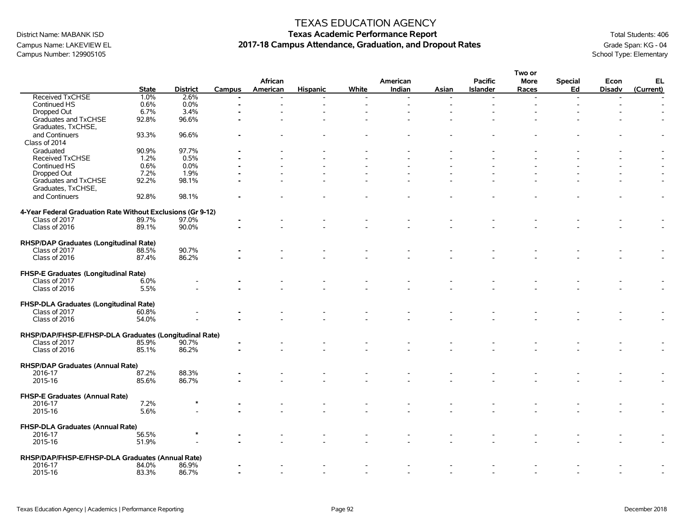### TEXAS EDUCATION AGENCY

# District Name: MABANK ISD **Texas Academic Performance Report Texas Academic Performance Report** Total Students: 406 Campus Name: LAKEVIEW EL **2017-18 Campus Attendance, Graduation, and Dropout Rates** Grampus Number: 129905105 Campus Number: 129905105 Campus Attendance, Graduation, and Dropout Rates Campus Number: 129905105

|                                                             |              |                 |        |          |                 |       |          |       |                 | Two or      |                          |               |           |
|-------------------------------------------------------------|--------------|-----------------|--------|----------|-----------------|-------|----------|-------|-----------------|-------------|--------------------------|---------------|-----------|
|                                                             |              |                 |        | African  |                 |       | American |       | <b>Pacific</b>  | <b>More</b> | <b>Special</b>           | Econ          | EL        |
|                                                             | <b>State</b> | <b>District</b> | Campus | American | <b>Hispanic</b> | White | Indian   | Asian | <b>Islander</b> | Races       | Ed                       | <b>Disadv</b> | (Current) |
| <b>Received TxCHSE</b>                                      | 1.0%         | 2.6%            |        |          |                 |       |          |       |                 |             | $\overline{\phantom{a}}$ |               |           |
| Continued HS                                                | 0.6%         | 0.0%            |        |          |                 |       |          |       |                 |             |                          |               |           |
| Dropped Out                                                 | 6.7%         | 3.4%            |        |          |                 |       |          |       |                 |             |                          |               |           |
| Graduates and TxCHSE                                        | 92.8%        | 96.6%           |        |          |                 |       |          |       |                 |             |                          |               |           |
| Graduates, TxCHSE,                                          |              |                 |        |          |                 |       |          |       |                 |             |                          |               |           |
| and Continuers                                              | 93.3%        | 96.6%           |        |          |                 |       |          |       |                 |             |                          |               |           |
| Class of 2014                                               |              |                 |        |          |                 |       |          |       |                 |             |                          |               |           |
| Graduated                                                   | 90.9%        | 97.7%           |        |          |                 |       |          |       |                 |             |                          |               |           |
|                                                             |              |                 |        |          |                 |       |          |       |                 |             |                          |               |           |
| <b>Received TxCHSE</b>                                      | 1.2%         | 0.5%            |        |          |                 |       |          |       |                 |             |                          |               |           |
| Continued HS                                                | 0.6%         | 0.0%            |        |          |                 |       |          |       |                 |             |                          |               |           |
| Dropped Out                                                 | 7.2%         | 1.9%            |        |          |                 |       |          |       |                 |             |                          |               |           |
| Graduates and TxCHSE                                        | 92.2%        | 98.1%           |        |          |                 |       |          |       |                 |             |                          |               |           |
| Graduates, TxCHSE,                                          |              |                 |        |          |                 |       |          |       |                 |             |                          |               |           |
| and Continuers                                              | 92.8%        | 98.1%           |        |          |                 |       |          |       |                 |             |                          |               |           |
|                                                             |              |                 |        |          |                 |       |          |       |                 |             |                          |               |           |
| 4-Year Federal Graduation Rate Without Exclusions (Gr 9-12) |              |                 |        |          |                 |       |          |       |                 |             |                          |               |           |
| Class of 2017                                               | 89.7%        | 97.0%           |        |          |                 |       |          |       |                 |             |                          |               |           |
| Class of 2016                                               | 89.1%        | 90.0%           |        |          |                 |       |          |       |                 |             |                          |               |           |
|                                                             |              |                 |        |          |                 |       |          |       |                 |             |                          |               |           |
| RHSP/DAP Graduates (Longitudinal Rate)                      |              |                 |        |          |                 |       |          |       |                 |             |                          |               |           |
| Class of 2017                                               | 88.5%        | 90.7%           |        |          |                 |       |          |       |                 |             |                          |               |           |
| Class of 2016                                               | 87.4%        | 86.2%           |        |          |                 |       |          |       |                 |             |                          |               |           |
|                                                             |              |                 |        |          |                 |       |          |       |                 |             |                          |               |           |
| FHSP-E Graduates (Longitudinal Rate)                        |              |                 |        |          |                 |       |          |       |                 |             |                          |               |           |
| Class of 2017                                               | 6.0%         |                 |        |          |                 |       |          |       |                 |             |                          |               |           |
| Class of 2016                                               | 5.5%         |                 |        |          |                 |       |          |       |                 |             |                          |               |           |
|                                                             |              |                 |        |          |                 |       |          |       |                 |             |                          |               |           |
|                                                             |              |                 |        |          |                 |       |          |       |                 |             |                          |               |           |
| FHSP-DLA Graduates (Longitudinal Rate)                      |              |                 |        |          |                 |       |          |       |                 |             |                          |               |           |
| Class of 2017                                               | 60.8%        |                 |        |          |                 |       |          |       |                 |             |                          |               |           |
| Class of 2016                                               | 54.0%        |                 |        |          |                 |       |          |       |                 |             |                          |               |           |
|                                                             |              |                 |        |          |                 |       |          |       |                 |             |                          |               |           |
| RHSP/DAP/FHSP-E/FHSP-DLA Graduates (Longitudinal Rate)      |              |                 |        |          |                 |       |          |       |                 |             |                          |               |           |
| Class of 2017                                               | 85.9%        | 90.7%           |        |          |                 |       |          |       |                 |             |                          |               |           |
| Class of 2016                                               | 85.1%        | 86.2%           |        |          |                 |       |          |       |                 |             |                          |               |           |
|                                                             |              |                 |        |          |                 |       |          |       |                 |             |                          |               |           |
| <b>RHSP/DAP Graduates (Annual Rate)</b>                     |              |                 |        |          |                 |       |          |       |                 |             |                          |               |           |
| 2016-17                                                     | 87.2%        | 88.3%           |        |          |                 |       |          |       |                 |             |                          |               |           |
| 2015-16                                                     | 85.6%        | 86.7%           |        |          |                 |       |          |       |                 |             |                          |               |           |
|                                                             |              |                 |        |          |                 |       |          |       |                 |             |                          |               |           |
| FHSP-E Graduates (Annual Rate)                              |              |                 |        |          |                 |       |          |       |                 |             |                          |               |           |
| 2016-17                                                     | 7.2%         | $\ast$          |        |          |                 |       |          |       |                 |             |                          |               |           |
| 2015-16                                                     | 5.6%         |                 |        |          |                 |       |          |       |                 |             |                          |               |           |
|                                                             |              |                 |        |          |                 |       |          |       |                 |             |                          |               |           |
| FHSP-DLA Graduates (Annual Rate)                            |              |                 |        |          |                 |       |          |       |                 |             |                          |               |           |
| 2016-17                                                     | 56.5%        |                 |        |          |                 |       |          |       |                 |             |                          |               |           |
| 2015-16                                                     | 51.9%        |                 |        |          |                 |       |          |       |                 |             |                          |               |           |
|                                                             |              |                 |        |          |                 |       |          |       |                 |             |                          |               |           |
| RHSP/DAP/FHSP-E/FHSP-DLA Graduates (Annual Rate)            |              |                 |        |          |                 |       |          |       |                 |             |                          |               |           |
| 2016-17                                                     | 84.0%        | 86.9%           |        |          |                 |       |          |       |                 |             |                          |               |           |
| 2015-16                                                     | 83.3%        | 86.7%           |        |          |                 |       |          |       |                 |             |                          |               |           |
|                                                             |              |                 |        |          |                 |       |          |       |                 |             |                          |               |           |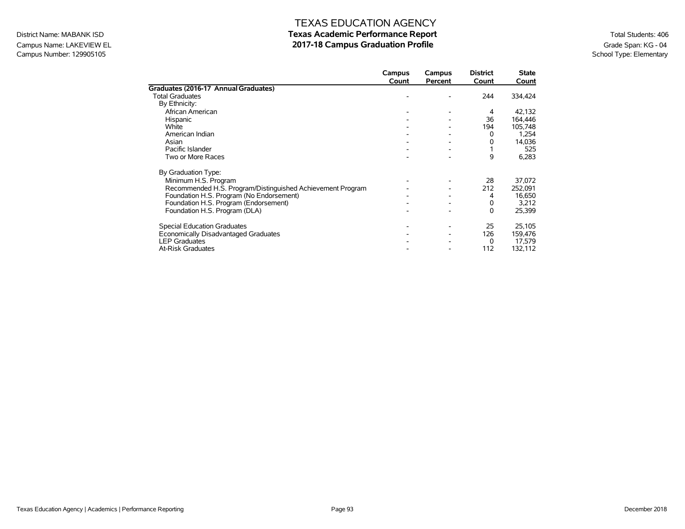### Campus Name: LAKEVIEW EL **2017-18 Campus Graduation Profile** Graduation Profile Graduation Profile Grade Span: KG - 04<br>Campus Number: 129905105 Campus Number: 129905105

|                                                            | Campus<br>Count | Campus<br>Percent | <b>District</b><br>Count | State<br>Count |
|------------------------------------------------------------|-----------------|-------------------|--------------------------|----------------|
| Graduates (2016-17 Annual Graduates)                       |                 |                   |                          |                |
| <b>Total Graduates</b>                                     |                 |                   | 244                      | 334,424        |
| By Ethnicity:                                              |                 |                   |                          |                |
| African American                                           |                 |                   | 4                        | 42,132         |
| Hispanic                                                   |                 |                   | 36                       | 164,446        |
| White                                                      |                 |                   | 194                      | 105,748        |
| American Indian                                            |                 |                   | 0                        | 1,254          |
| Asian                                                      |                 |                   | 0                        | 14,036         |
| Pacific Islander                                           |                 |                   |                          | 525            |
| Two or More Races                                          |                 |                   | 9                        | 6,283          |
| By Graduation Type:                                        |                 |                   |                          |                |
| Minimum H.S. Program                                       |                 |                   | 28                       | 37,072         |
| Recommended H.S. Program/Distinguished Achievement Program |                 |                   | 212                      | 252,091        |
| Foundation H.S. Program (No Endorsement)                   |                 |                   | 4                        | 16,650         |
| Foundation H.S. Program (Endorsement)                      |                 |                   | 0                        | 3,212          |
| Foundation H.S. Program (DLA)                              |                 |                   | 0                        | 25,399         |
| <b>Special Education Graduates</b>                         |                 |                   | 25                       | 25,105         |
| Economically Disadvantaged Graduates                       |                 |                   | 126                      | 159,476        |
| <b>LEP Graduates</b>                                       |                 |                   | 0                        | 17,579         |
| <b>At-Risk Graduates</b>                                   |                 |                   | 112                      | 132,112        |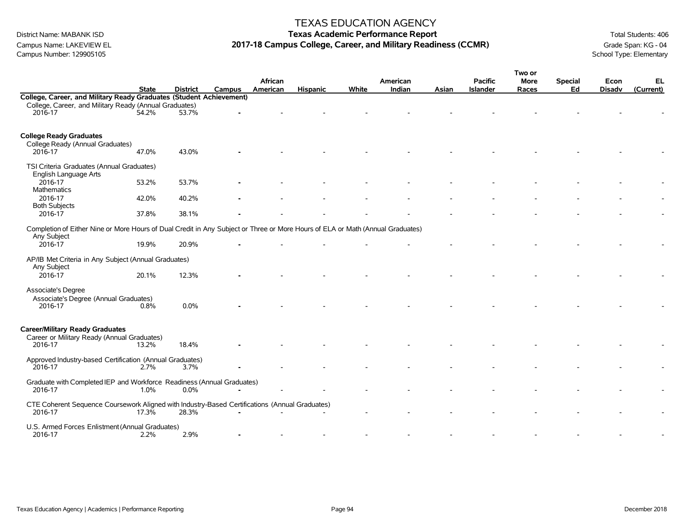### TEXAS EDUCATION AGENCY

# District Name: MABANK ISD **Texas Academic Performance Report Texas Academic Performance Report** Total Students: 406 Campus Name: LAKEVIEW EL **2017-18 Campus College, Career, and Military Readiness (CCMR)** Grade Span: KG - 04<br>Campus Number: 129905105

|                                                                                                                                |              |                 |        |          |                 |       |          |       |                 | Two or |                |               |           |
|--------------------------------------------------------------------------------------------------------------------------------|--------------|-----------------|--------|----------|-----------------|-------|----------|-------|-----------------|--------|----------------|---------------|-----------|
|                                                                                                                                |              |                 |        | African  |                 |       | American |       | <b>Pacific</b>  | More   | <b>Special</b> | Econ          | EL        |
|                                                                                                                                | <b>State</b> | <b>District</b> | Campus | American | <b>Hispanic</b> | White | Indian   | Asian | <b>Islander</b> | Races  | Ed             | <b>Disadv</b> | (Current) |
| College, Career, and Military Ready Graduates (Student Achievement)                                                            |              |                 |        |          |                 |       |          |       |                 |        |                |               |           |
| College, Career, and Military Ready (Annual Graduates)                                                                         |              |                 |        |          |                 |       |          |       |                 |        |                |               |           |
| 2016-17                                                                                                                        | 54.2%        | 53.7%           |        |          |                 |       |          |       |                 |        |                |               |           |
|                                                                                                                                |              |                 |        |          |                 |       |          |       |                 |        |                |               |           |
|                                                                                                                                |              |                 |        |          |                 |       |          |       |                 |        |                |               |           |
| <b>College Ready Graduates</b>                                                                                                 |              |                 |        |          |                 |       |          |       |                 |        |                |               |           |
| College Ready (Annual Graduates)<br>2016-17                                                                                    | 47.0%        | 43.0%           |        |          |                 |       |          |       |                 |        |                |               |           |
|                                                                                                                                |              |                 |        |          |                 |       |          |       |                 |        |                |               |           |
| TSI Criteria Graduates (Annual Graduates)                                                                                      |              |                 |        |          |                 |       |          |       |                 |        |                |               |           |
| English Language Arts                                                                                                          |              |                 |        |          |                 |       |          |       |                 |        |                |               |           |
| 2016-17                                                                                                                        | 53.2%        | 53.7%           |        |          |                 |       |          |       |                 |        |                |               |           |
| Mathematics                                                                                                                    |              |                 |        |          |                 |       |          |       |                 |        |                |               |           |
| 2016-17                                                                                                                        | 42.0%        | 40.2%           |        |          |                 |       |          |       |                 |        |                |               |           |
| <b>Both Subjects</b>                                                                                                           |              |                 |        |          |                 |       |          |       |                 |        |                |               |           |
| 2016-17                                                                                                                        | 37.8%        | 38.1%           |        |          |                 |       |          |       |                 |        |                |               |           |
|                                                                                                                                |              |                 |        |          |                 |       |          |       |                 |        |                |               |           |
| Completion of Either Nine or More Hours of Dual Credit in Any Subject or Three or More Hours of ELA or Math (Annual Graduates) |              |                 |        |          |                 |       |          |       |                 |        |                |               |           |
| Any Subject                                                                                                                    |              |                 |        |          |                 |       |          |       |                 |        |                |               |           |
| 2016-17                                                                                                                        | 19.9%        | 20.9%           |        |          |                 |       |          |       |                 |        |                |               |           |
| AP/IB Met Criteria in Any Subject (Annual Graduates)                                                                           |              |                 |        |          |                 |       |          |       |                 |        |                |               |           |
| Any Subject                                                                                                                    |              |                 |        |          |                 |       |          |       |                 |        |                |               |           |
| 2016-17                                                                                                                        | 20.1%        | 12.3%           |        |          |                 |       |          |       |                 |        |                |               |           |
|                                                                                                                                |              |                 |        |          |                 |       |          |       |                 |        |                |               |           |
| Associate's Degree                                                                                                             |              |                 |        |          |                 |       |          |       |                 |        |                |               |           |
| Associate's Degree (Annual Graduates)                                                                                          |              |                 |        |          |                 |       |          |       |                 |        |                |               |           |
| 2016-17                                                                                                                        | 0.8%         | 0.0%            |        |          |                 |       |          |       |                 |        |                |               |           |
|                                                                                                                                |              |                 |        |          |                 |       |          |       |                 |        |                |               |           |
|                                                                                                                                |              |                 |        |          |                 |       |          |       |                 |        |                |               |           |
| <b>Career/Military Ready Graduates</b>                                                                                         |              |                 |        |          |                 |       |          |       |                 |        |                |               |           |
| Career or Military Ready (Annual Graduates)                                                                                    |              |                 |        |          |                 |       |          |       |                 |        |                |               |           |
| 2016-17                                                                                                                        | 13.2%        | 18.4%           |        |          |                 |       |          |       |                 |        |                |               |           |
| Approved Industry-based Certification (Annual Graduates)                                                                       |              |                 |        |          |                 |       |          |       |                 |        |                |               |           |
| 2016-17                                                                                                                        | 2.7%         | 3.7%            |        |          |                 |       |          |       |                 |        |                |               |           |
|                                                                                                                                |              |                 |        |          |                 |       |          |       |                 |        |                |               |           |
| Graduate with Completed IEP and Workforce Readiness (Annual Graduates)                                                         |              |                 |        |          |                 |       |          |       |                 |        |                |               |           |
| 2016-17                                                                                                                        | 1.0%         | 0.0%            |        |          |                 |       |          |       |                 |        |                |               |           |
|                                                                                                                                |              |                 |        |          |                 |       |          |       |                 |        |                |               |           |
| CTE Coherent Sequence Coursework Aligned with Industry-Based Certifications (Annual Graduates)                                 |              |                 |        |          |                 |       |          |       |                 |        |                |               |           |
| 2016-17                                                                                                                        | $17.3\%$     | 28.3%           |        |          |                 |       |          |       |                 |        |                |               |           |
| U.S. Armed Forces Enlistment (Annual Graduates)                                                                                |              |                 |        |          |                 |       |          |       |                 |        |                |               |           |
| 2016-17                                                                                                                        | 2.2%         | 2.9%            |        |          |                 |       |          |       |                 |        |                |               |           |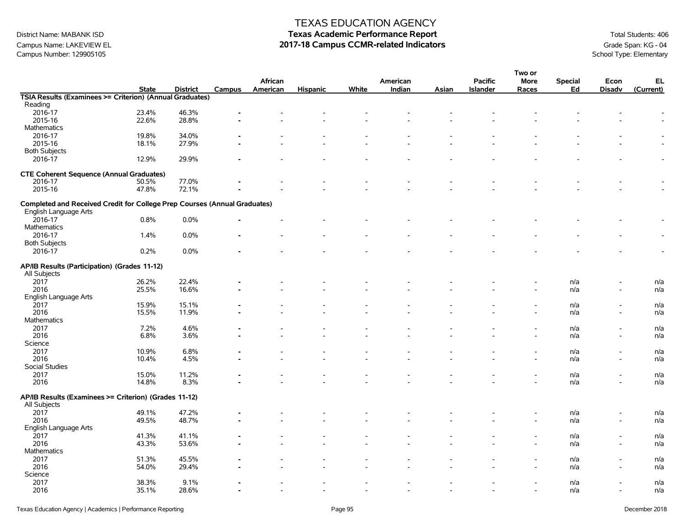## Campus Name: LAKEVIEW EL **2017-18 Campus CCMR-related Indicators** Grade Span: KG - 04<br>Campus Number: 129905105<br>School Type: Elementary Campus Number: 129905105

### TEXAS EDUCATION AGENCY

|                                                                           |              |                 |        |          |                          |                          |                          |       |                          | Two or      |                |               |                          |
|---------------------------------------------------------------------------|--------------|-----------------|--------|----------|--------------------------|--------------------------|--------------------------|-------|--------------------------|-------------|----------------|---------------|--------------------------|
|                                                                           |              |                 |        | African  |                          |                          | American                 |       | <b>Pacific</b>           | <b>More</b> | <b>Special</b> | Econ          | EL                       |
|                                                                           | <b>State</b> | <b>District</b> | Campus | American | <b>Hispanic</b>          | White                    | Indian                   | Asian | <b>Islander</b>          | Races       | Ed             | <b>Disadv</b> | (Current)                |
| TSIA Results (Examinees >= Criterion) (Annual Graduates)                  |              |                 |        |          |                          |                          |                          |       |                          |             |                |               |                          |
| Reading                                                                   |              |                 |        |          |                          |                          |                          |       |                          |             |                |               |                          |
| 2016-17                                                                   | 23.4%        | 46.3%           |        |          |                          |                          |                          |       |                          |             |                |               |                          |
| 2015-16                                                                   | 22.6%        | 28.8%           |        |          |                          |                          |                          |       |                          |             |                |               |                          |
| <b>Mathematics</b>                                                        |              |                 |        |          |                          |                          |                          |       |                          |             |                |               |                          |
| 2016-17                                                                   | 19.8%        | 34.0%           |        |          |                          |                          |                          |       |                          |             |                |               |                          |
| 2015-16                                                                   | 18.1%        | 27.9%           |        |          |                          |                          |                          |       |                          |             |                |               |                          |
| <b>Both Subjects</b>                                                      |              |                 |        |          |                          |                          |                          |       |                          |             |                |               |                          |
| 2016-17                                                                   | 12.9%        | 29.9%           |        |          |                          |                          |                          |       |                          |             |                |               | $\overline{\phantom{a}}$ |
| <b>CTE Coherent Sequence (Annual Graduates)</b>                           |              |                 |        |          |                          |                          |                          |       |                          |             |                |               |                          |
| 2016-17                                                                   | 50.5%        | 77.0%           |        |          |                          |                          |                          |       |                          |             |                |               |                          |
|                                                                           |              | 72.1%           |        |          |                          |                          |                          |       |                          |             |                |               |                          |
| 2015-16                                                                   | 47.8%        |                 |        |          |                          |                          |                          |       |                          |             |                |               |                          |
| Completed and Received Credit for College Prep Courses (Annual Graduates) |              |                 |        |          |                          |                          |                          |       |                          |             |                |               |                          |
| English Language Arts                                                     |              |                 |        |          |                          |                          |                          |       |                          |             |                |               |                          |
| 2016-17                                                                   | 0.8%         | 0.0%            |        |          |                          |                          |                          |       |                          |             |                |               |                          |
| <b>Mathematics</b>                                                        |              |                 |        |          |                          |                          |                          |       |                          |             |                |               |                          |
| 2016-17                                                                   | 1.4%         | 0.0%            |        |          |                          |                          |                          |       |                          |             |                |               | $\blacksquare$           |
| <b>Both Subjects</b>                                                      |              |                 |        |          |                          |                          |                          |       |                          |             |                |               |                          |
| 2016-17                                                                   | 0.2%         | 0.0%            |        |          |                          |                          |                          |       |                          |             |                |               |                          |
|                                                                           |              |                 |        |          |                          |                          |                          |       |                          |             |                |               |                          |
| AP/IB Results (Participation) (Grades 11-12)                              |              |                 |        |          |                          |                          |                          |       |                          |             |                |               |                          |
| All Subjects                                                              |              |                 |        |          |                          |                          |                          |       |                          |             |                |               |                          |
| 2017                                                                      | 26.2%        | 22.4%           |        |          |                          |                          |                          |       |                          |             | n/a            |               | n/a                      |
| 2016                                                                      | 25.5%        | 16.6%           |        |          |                          |                          |                          |       |                          |             | n/a            |               | n/a                      |
| English Language Arts                                                     |              |                 |        |          |                          |                          |                          |       |                          |             |                |               |                          |
| 2017                                                                      | 15.9%        | 15.1%           |        |          |                          |                          |                          |       |                          |             | n/a            |               | n/a                      |
| 2016                                                                      | 15.5%        | 11.9%           |        |          |                          |                          |                          |       |                          |             | n/a            |               | n/a                      |
| <b>Mathematics</b>                                                        |              |                 |        |          |                          |                          |                          |       |                          |             |                |               |                          |
| 2017                                                                      | 7.2%         | 4.6%            |        |          |                          |                          |                          |       |                          |             | n/a            |               | n/a                      |
| 2016                                                                      | 6.8%         | 3.6%            |        |          |                          |                          |                          |       |                          |             | n/a            |               | n/a                      |
| Science                                                                   |              |                 |        |          |                          |                          |                          |       |                          |             |                |               |                          |
| 2017                                                                      | 10.9%        | 6.8%            |        |          |                          |                          |                          |       |                          |             | n/a            |               | n/a                      |
| 2016                                                                      | 10.4%        | 4.5%            |        |          |                          |                          |                          |       |                          |             | n/a            |               | n/a                      |
| Social Studies                                                            |              |                 |        |          |                          |                          |                          |       |                          |             |                |               |                          |
| 2017                                                                      | 15.0%        | 11.2%           |        |          |                          |                          |                          |       |                          |             | n/a            |               | n/a                      |
| 2016                                                                      | 14.8%        | 8.3%            |        |          |                          |                          |                          |       |                          |             | n/a            |               | n/a                      |
| AP/IB Results (Examinees >= Criterion) (Grades 11-12)                     |              |                 |        |          |                          |                          |                          |       |                          |             |                |               |                          |
| All Subjects                                                              |              |                 |        |          |                          |                          |                          |       |                          |             |                |               |                          |
| 2017                                                                      | 49.1%        | 47.2%           |        |          |                          |                          |                          |       |                          |             | n/a            |               | n/a                      |
| 2016                                                                      | 49.5%        | 48.7%           |        |          |                          |                          |                          |       |                          |             | n/a            |               | n/a                      |
| English Language Arts                                                     |              |                 |        |          |                          |                          |                          |       |                          |             |                |               |                          |
| 2017                                                                      | 41.3%        | 41.1%           |        |          |                          |                          |                          |       |                          |             | n/a            |               | n/a                      |
| 2016                                                                      | 43.3%        | 53.6%           |        |          |                          |                          |                          |       |                          |             | n/a            |               | n/a                      |
| <b>Mathematics</b>                                                        |              |                 |        |          |                          |                          |                          |       |                          |             |                |               |                          |
| 2017                                                                      | 51.3%        | 45.5%           |        |          |                          |                          |                          |       |                          |             | n/a            |               | n/a                      |
| 2016                                                                      | 54.0%        | 29.4%           |        |          |                          |                          |                          |       |                          |             | n/a            |               | n/a                      |
| Science                                                                   |              |                 |        |          |                          |                          |                          |       |                          |             |                |               |                          |
| 2017                                                                      | 38.3%        | 9.1%            |        |          |                          |                          |                          |       |                          |             | n/a            |               | n/a                      |
| 2016                                                                      | 35.1%        | 28.6%           |        |          | $\overline{\phantom{a}}$ | $\overline{\phantom{a}}$ | $\overline{\phantom{a}}$ |       | $\overline{\phantom{a}}$ |             | n/a            |               | n/a                      |
|                                                                           |              |                 |        |          |                          |                          |                          |       |                          |             |                |               |                          |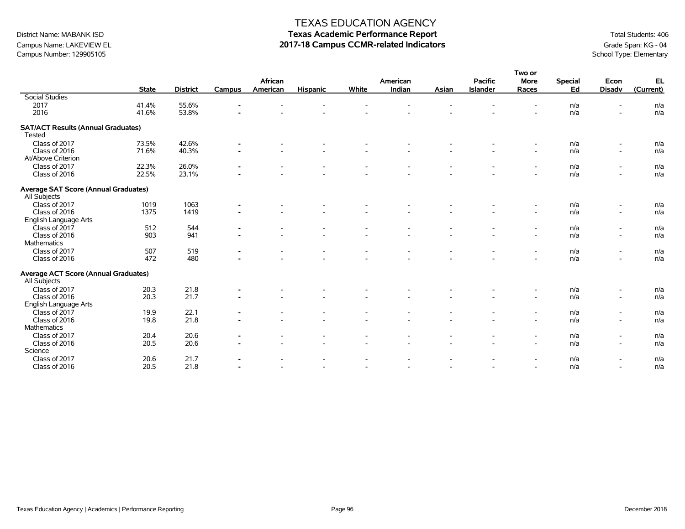# Campus Name: LAKEVIEW EL **2017-18 Campus CCMR-related Indicators** Grade Span: KG - 04<br>Campus Number: 129905105<br>School Type: Elementary Campus Number: 129905105

### TEXAS EDUCATION AGENCY

|                                                             |              |                 |                |          |                          |                          |                |       |                 | Two or                   |                |                          |            |
|-------------------------------------------------------------|--------------|-----------------|----------------|----------|--------------------------|--------------------------|----------------|-------|-----------------|--------------------------|----------------|--------------------------|------------|
|                                                             |              |                 |                | African  |                          |                          | American       |       | <b>Pacific</b>  | <b>More</b>              | <b>Special</b> | Econ                     | EL         |
|                                                             | <b>State</b> | <b>District</b> | Campus         | American | <b>Hispanic</b>          | White                    | Indian         | Asian | <b>Islander</b> | Races                    | Ed             | <b>Disadv</b>            | (Current)  |
| <b>Social Studies</b>                                       |              |                 |                |          |                          |                          |                |       |                 |                          |                |                          |            |
| 2017                                                        | 41.4%        | 55.6%           |                |          |                          |                          |                |       |                 |                          | n/a            | ۰                        | n/a        |
| 2016                                                        | 41.6%        | 53.8%           |                |          |                          |                          |                |       |                 |                          | n/a            | ۰                        | n/a        |
| <b>SAT/ACT Results (Annual Graduates)</b>                   |              |                 |                |          |                          |                          |                |       |                 |                          |                |                          |            |
| Tested                                                      |              |                 |                |          |                          |                          |                |       |                 |                          |                |                          |            |
| Class of 2017                                               | 73.5%        | 42.6%           | $\blacksquare$ |          |                          |                          |                |       |                 | $\overline{\phantom{a}}$ | n/a            | $\overline{\phantom{a}}$ | n/a        |
| Class of 2016                                               | 71.6%        | 40.3%           | $\blacksquare$ |          | $\overline{\phantom{a}}$ |                          |                |       |                 | $\overline{\phantom{a}}$ | n/a            | $\overline{\phantom{a}}$ | n/a        |
| At/Above Criterion                                          |              |                 |                |          |                          |                          |                |       |                 |                          |                |                          |            |
| Class of 2017                                               | 22.3%        | 26.0%           | $\blacksquare$ |          |                          |                          |                |       |                 | $\overline{\phantom{a}}$ | n/a            | $\overline{\phantom{a}}$ | n/a        |
| Class of 2016                                               | 22.5%        | 23.1%           |                |          |                          |                          |                |       |                 | $\overline{a}$           | n/a            | $\overline{\phantom{a}}$ | n/a        |
| <b>Average SAT Score (Annual Graduates)</b>                 |              |                 |                |          |                          |                          |                |       |                 |                          |                |                          |            |
| All Subjects                                                |              |                 |                |          |                          |                          |                |       |                 |                          |                |                          |            |
| Class of 2017                                               | 1019         | 1063            |                |          |                          |                          |                |       |                 |                          | n/a            | $\overline{\phantom{a}}$ | n/a        |
| Class of 2016                                               | 1375         | 1419            |                |          |                          |                          |                |       |                 | $\overline{\phantom{a}}$ | n/a            | $\blacksquare$           | n/a        |
| English Language Arts                                       |              |                 |                |          |                          |                          |                |       |                 |                          |                |                          |            |
| Class of 2017                                               | 512          | 544             | $\blacksquare$ |          |                          |                          |                |       |                 | $\overline{\phantom{0}}$ | n/a            | $\overline{\phantom{a}}$ | n/a        |
| Class of 2016                                               | 903          | 941             | $\blacksquare$ |          |                          |                          |                |       |                 | $\overline{\phantom{a}}$ | n/a            | $\blacksquare$           | n/a        |
| Mathematics                                                 |              |                 |                |          |                          |                          |                |       |                 |                          |                |                          |            |
| Class of 2017                                               | 507          | 519             |                |          |                          |                          |                |       |                 | $\overline{\phantom{0}}$ | n/a            | $\overline{\phantom{a}}$ | n/a        |
| Class of 2016                                               | 472          | 480             |                |          |                          |                          |                |       |                 |                          | n/a            | ۰                        | n/a        |
|                                                             |              |                 |                |          |                          |                          |                |       |                 |                          |                |                          |            |
| <b>Average ACT Score (Annual Graduates)</b><br>All Subjects |              |                 |                |          |                          |                          |                |       |                 |                          |                |                          |            |
| Class of 2017                                               | 20.3         | 21.8            | $\blacksquare$ |          |                          |                          |                |       |                 |                          | n/a            | $\overline{\phantom{a}}$ | n/a        |
| Class of 2016                                               | 20.3         | 21.7            |                |          |                          |                          |                |       |                 | $\overline{a}$           | n/a            | $\blacksquare$           | n/a        |
| English Language Arts                                       |              |                 |                |          |                          |                          |                |       |                 |                          |                |                          |            |
| Class of 2017                                               |              |                 |                |          |                          |                          |                |       |                 |                          |                |                          |            |
| Class of 2016                                               | 19.9<br>19.8 | 22.1<br>21.8    | $\blacksquare$ |          |                          |                          |                |       |                 | $\overline{\phantom{a}}$ | n/a<br>n/a     | $\overline{\phantom{a}}$ | n/a<br>n/a |
|                                                             |              |                 |                |          |                          |                          |                |       |                 | $\overline{\phantom{a}}$ |                | $\overline{\phantom{a}}$ |            |
| Mathematics                                                 |              |                 |                |          |                          |                          |                |       |                 |                          |                |                          |            |
| Class of 2017                                               | 20.4         | 20.6            |                |          |                          |                          |                |       |                 | $\overline{\phantom{a}}$ | n/a            | $\overline{\phantom{a}}$ | n/a        |
| Class of 2016                                               | 20.5         | 20.6            |                |          | $\overline{\phantom{a}}$ |                          |                |       |                 | $\sim$                   | n/a            | $\overline{\phantom{a}}$ | n/a        |
| Science                                                     |              |                 |                |          |                          |                          |                |       |                 |                          |                |                          |            |
| Class of 2017                                               | 20.6         | 21.7            | $\blacksquare$ |          |                          |                          |                |       |                 | $\overline{\phantom{0}}$ | n/a            | $\overline{\phantom{a}}$ | n/a        |
| Class of 2016                                               | 20.5         | 21.8            |                |          | $\overline{\phantom{a}}$ | $\overline{\phantom{a}}$ | $\overline{a}$ |       |                 | $\sim$                   | n/a            | $\overline{\phantom{a}}$ | n/a        |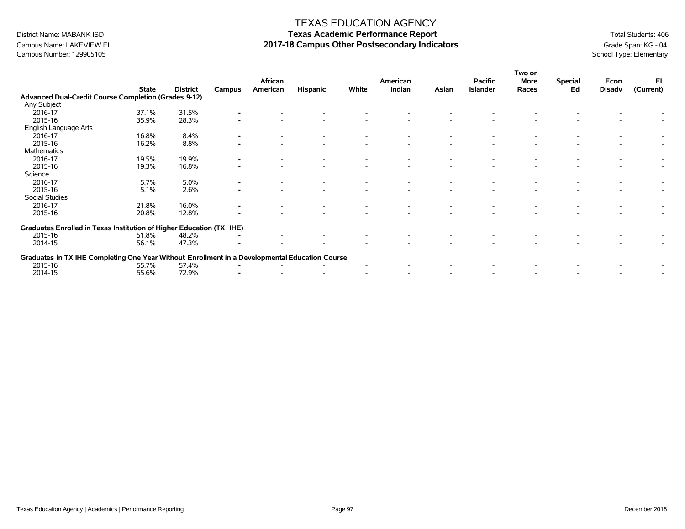### TEXAS EDUCATION AGENCY

# District Name: MABANK ISD **Texas Academic Performance Report Texas Academic Performance Report** Total Students: 406 Campus Name: LAKEVIEW EL **2017-18 Campus Other Postsecondary Indicators** Grade Span: KG - 04 Campus Number: 129905105<br>Campus Number: 129905105

|                                                                                                |              |                 |        | African  |                 |       | American |       | <b>Pacific</b>  | Two or<br>More | <b>Special</b> | Econ          | EL        |
|------------------------------------------------------------------------------------------------|--------------|-----------------|--------|----------|-----------------|-------|----------|-------|-----------------|----------------|----------------|---------------|-----------|
|                                                                                                | <b>State</b> | <b>District</b> | Campus | American | <b>Hispanic</b> | White | Indian   | Asian | <b>Islander</b> | Races          | Ed             | <b>Disadv</b> | (Current) |
| <b>Advanced Dual-Credit Course Completion (Grades 9-12)</b>                                    |              |                 |        |          |                 |       |          |       |                 |                |                |               |           |
| Any Subject                                                                                    |              |                 |        |          |                 |       |          |       |                 |                |                |               |           |
| 2016-17                                                                                        | 37.1%        | 31.5%           |        |          |                 |       |          |       |                 |                |                |               |           |
| 2015-16                                                                                        | 35.9%        | 28.3%           |        |          |                 |       |          |       |                 |                |                |               |           |
| English Language Arts                                                                          |              |                 |        |          |                 |       |          |       |                 |                |                |               |           |
| 2016-17                                                                                        | 16.8%        | 8.4%            |        |          |                 |       |          |       |                 |                |                |               |           |
| 2015-16                                                                                        | 16.2%        | 8.8%            |        |          |                 |       |          |       |                 |                |                |               |           |
| <b>Mathematics</b>                                                                             |              |                 |        |          |                 |       |          |       |                 |                |                |               |           |
| 2016-17                                                                                        | 19.5%        | 19.9%           |        |          |                 |       |          |       |                 |                |                |               |           |
| 2015-16                                                                                        | 19.3%        | 16.8%           |        |          |                 |       |          |       |                 |                |                |               |           |
| Science                                                                                        |              |                 |        |          |                 |       |          |       |                 |                |                |               |           |
| 2016-17                                                                                        | 5.7%         | 5.0%            |        |          |                 |       |          |       |                 |                |                |               |           |
| 2015-16                                                                                        | 5.1%         | 2.6%            |        |          |                 |       |          |       |                 |                |                |               |           |
| Social Studies                                                                                 |              |                 |        |          |                 |       |          |       |                 |                |                |               |           |
| 2016-17                                                                                        | 21.8%        | 16.0%           |        |          |                 |       |          |       |                 |                |                |               |           |
| 2015-16                                                                                        | 20.8%        | 12.8%           |        |          |                 |       |          |       |                 |                |                |               |           |
| Graduates Enrolled in Texas Institution of Higher Education (TX                                |              |                 | IHE)   |          |                 |       |          |       |                 |                |                |               |           |
| 2015-16                                                                                        | 51.8%        | 48.2%           |        |          |                 |       |          |       |                 |                |                |               |           |
| 2014-15                                                                                        | 56.1%        | 47.3%           |        |          |                 |       |          |       |                 |                |                |               |           |
| Graduates in TX IHE Completing One Year Without Enrollment in a Developmental Education Course |              |                 |        |          |                 |       |          |       |                 |                |                |               |           |
| 2015-16                                                                                        | 55.7%        | 57.4%           |        |          |                 |       |          |       |                 |                |                |               |           |
| 2014-15                                                                                        | 55.6%        | 72.9%           |        |          |                 |       |          |       |                 |                |                |               |           |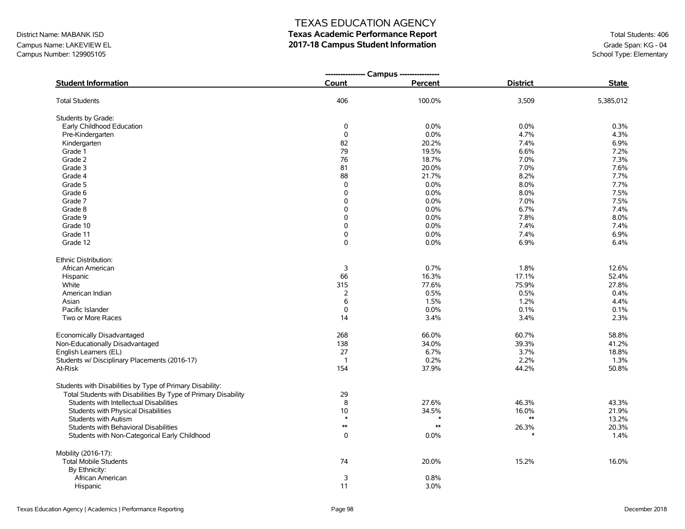Campus Name: LAKEVIEW EL **2017-18 Campus Student Information**<br>Campus Number: 129905105 Campus Number: 129905105 Campus Number: 129905105

### TEXAS EDUCATION AGENCY

|                                                                | ---------------- Campus ---------------- |            |                 |              |
|----------------------------------------------------------------|------------------------------------------|------------|-----------------|--------------|
| <b>Student Information</b>                                     | Count                                    | Percent    | <b>District</b> | <b>State</b> |
| <b>Total Students</b>                                          | 406                                      | 100.0%     | 3,509           | 5,385,012    |
| Students by Grade:                                             |                                          |            |                 |              |
| Early Childhood Education                                      | 0                                        | 0.0%       | 0.0%            | 0.3%         |
| Pre-Kindergarten                                               | $\mathbf 0$                              | 0.0%       | 4.7%            | 4.3%         |
| Kindergarten                                                   | 82                                       | 20.2%      | 7.4%            | 6.9%         |
| Grade 1                                                        | 79                                       | 19.5%      | 6.6%            | 7.2%         |
| Grade 2                                                        | 76                                       | 18.7%      | 7.0%            | 7.3%         |
| Grade 3                                                        | 81                                       | 20.0%      | 7.0%            | 7.6%         |
| Grade 4                                                        | 88                                       | 21.7%      | 8.2%            | 7.7%         |
| Grade 5                                                        | 0                                        | 0.0%       | 8.0%            | 7.7%         |
| Grade 6                                                        | 0                                        | 0.0%       | 8.0%            | 7.5%         |
| Grade 7                                                        | 0                                        | 0.0%       | 7.0%            | 7.5%         |
| Grade 8                                                        | 0                                        | 0.0%       | 6.7%            | 7.4%         |
| Grade 9                                                        | 0                                        | 0.0%       | 7.8%            | 8.0%         |
| Grade 10                                                       | 0                                        | 0.0%       | 7.4%            | 7.4%         |
| Grade 11                                                       | 0                                        | 0.0%       | 7.4%            | 6.9%         |
| Grade 12                                                       | 0                                        | 0.0%       | 6.9%            | 6.4%         |
| Ethnic Distribution:                                           |                                          |            |                 |              |
| African American                                               | 3                                        | 0.7%       | 1.8%            | 12.6%        |
| Hispanic                                                       | 66                                       | 16.3%      | 17.1%           | 52.4%        |
| White                                                          | 315                                      | 77.6%      | 75.9%           | 27.8%        |
| American Indian                                                | $\overline{2}$                           | 0.5%       | 0.5%            | 0.4%         |
| Asian                                                          | 6                                        | 1.5%       | 1.2%            | 4.4%         |
| Pacific Islander                                               | $\mathsf 0$                              | 0.0%       | 0.1%            | 0.1%         |
| Two or More Races                                              | 14                                       | 3.4%       | 3.4%            | 2.3%         |
| Economically Disadvantaged                                     | 268                                      | 66.0%      | 60.7%           | 58.8%        |
| Non-Educationally Disadvantaged                                | 138                                      | 34.0%      | 39.3%           | 41.2%        |
| English Learners (EL)                                          | 27                                       | 6.7%       | 3.7%            | 18.8%        |
| Students w/ Disciplinary Placements (2016-17)                  | $\overline{1}$                           | 0.2%       | 2.2%            | 1.3%         |
| At-Risk                                                        | 154                                      | 37.9%      | 44.2%           | 50.8%        |
| Students with Disabilities by Type of Primary Disability:      |                                          |            |                 |              |
| Total Students with Disabilities By Type of Primary Disability | 29                                       |            |                 |              |
| Students with Intellectual Disabilities                        | 8                                        | 27.6%      | 46.3%           | 43.3%        |
| Students with Physical Disabilities                            | 10                                       | 34.5%      | 16.0%           | 21.9%        |
| Students with Autism                                           | $\ast$                                   |            | $\ast\ast$      | 13.2%        |
| Students with Behavioral Disabilities                          | $**$                                     | $\ast\ast$ | 26.3%           | 20.3%        |
| Students with Non-Categorical Early Childhood                  | 0                                        | 0.0%       |                 | 1.4%         |
| Mobility (2016-17):                                            |                                          |            |                 |              |
| <b>Total Mobile Students</b>                                   | 74                                       | 20.0%      | 15.2%           | 16.0%        |
| By Ethnicity:                                                  |                                          |            |                 |              |
| African American                                               | 3                                        | 0.8%       |                 |              |
| Hispanic                                                       | 11                                       | 3.0%       |                 |              |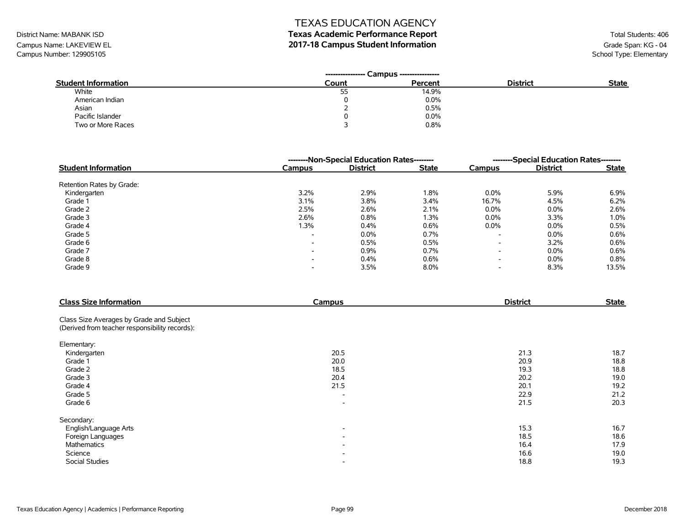# District Name: MABANK ISD **Texas Academic Performance Report Texas Academic Performance Report** Total Students: 406

Campus Name: LAKEVIEW EL **2017-18 Campus Student Information**<br>Campus Number: 129905105 Campus Number: 129905105 Campus Number: 129905105

|                            | Campus ---------------<br>---------------- |         |                 |              |
|----------------------------|--------------------------------------------|---------|-----------------|--------------|
| <b>Student Information</b> | Count                                      | Percent | <b>District</b> | <b>State</b> |
| White                      | 55                                         | 14.9%   |                 |              |
| American Indian            |                                            | 0.0%    |                 |              |
| Asian                      |                                            | 0.5%    |                 |              |
| Pacific Islander           |                                            | 0.0%    |                 |              |
| Two or More Races          |                                            | 0.8%    |                 |              |

|                            | --------Non-Special Education Rates-------- | --------Special Education Rates-------- |              |                          |                 |              |
|----------------------------|---------------------------------------------|-----------------------------------------|--------------|--------------------------|-----------------|--------------|
| <b>Student Information</b> | Campus                                      | <b>District</b>                         | <b>State</b> | Campus                   | <b>District</b> | <b>State</b> |
| Retention Rates by Grade:  |                                             |                                         |              |                          |                 |              |
| Kindergarten               | 3.2%                                        | 2.9%                                    | 1.8%         | $0.0\%$                  | 5.9%            | 6.9%         |
| Grade 1                    | 3.1%                                        | 3.8%                                    | 3.4%         | 16.7%                    | 4.5%            | 6.2%         |
| Grade 2                    | 2.5%                                        | 2.6%                                    | 2.1%         | $0.0\%$                  | 0.0%            | 2.6%         |
| Grade 3                    | 2.6%                                        | 0.8%                                    | 1.3%         | $0.0\%$                  | 3.3%            | 1.0%         |
| Grade 4                    | l.3%                                        | 0.4%                                    | 0.6%         | $0.0\%$                  | $0.0\%$         | 0.5%         |
| Grade 5                    | $\overline{\phantom{a}}$                    | 0.0%                                    | 0.7%         | $\overline{\phantom{a}}$ | 0.0%            | 0.6%         |
| Grade 6                    | $\overline{\phantom{0}}$                    | 0.5%                                    | 0.5%         | $\overline{\phantom{0}}$ | 3.2%            | 0.6%         |
| Grade 7                    | $\overline{\phantom{0}}$                    | 0.9%                                    | 0.7%         | $\overline{\phantom{a}}$ | 0.0%            | 0.6%         |
| Grade 8                    | $\overline{\phantom{0}}$                    | 0.4%                                    | 0.6%         | $\overline{\phantom{0}}$ | $0.0\%$         | 0.8%         |
| Grade 9                    | $\overline{\phantom{0}}$                    | 3.5%                                    | 8.0%         | $\overline{\phantom{a}}$ | 8.3%            | 13.5%        |

| <b>Class Size Information</b>                  | Campus                   | <b>District</b> | <b>State</b> |
|------------------------------------------------|--------------------------|-----------------|--------------|
| Class Size Averages by Grade and Subject       |                          |                 |              |
| (Derived from teacher responsibility records): |                          |                 |              |
| Elementary:                                    |                          |                 |              |
| Kindergarten                                   | 20.5                     | 21.3            | 18.7         |
| Grade 1                                        | 20.0                     | 20.9            | 18.8         |
| Grade 2                                        | 18.5                     | 19.3            | 18.8         |
| Grade 3                                        | 20.4                     | 20.2            | 19.0         |
| Grade 4                                        | 21.5                     | 20.1            | 19.2         |
| Grade 5                                        | $\overline{\phantom{a}}$ | 22.9            | 21.2         |
| Grade 6                                        | $\overline{\phantom{a}}$ | 21.5            | 20.3         |
| Secondary:                                     |                          |                 |              |
| English/Language Arts                          | $\overline{\phantom{a}}$ | 15.3            | 16.7         |
| Foreign Languages                              | $\overline{\phantom{a}}$ | 18.5            | 18.6         |
| Mathematics                                    | $\overline{\phantom{a}}$ | 16.4            | 17.9         |
| Science                                        | $\overline{\phantom{a}}$ | 16.6            | 19.0         |
| <b>Social Studies</b>                          | $\overline{\phantom{a}}$ | 18.8            | 19.3         |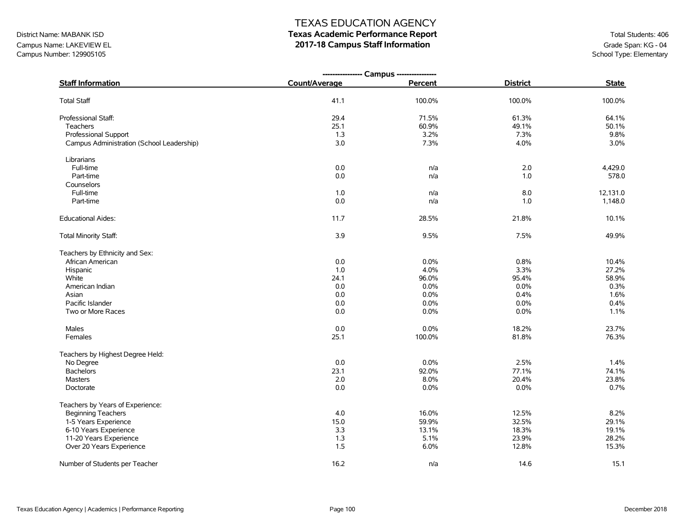# District Name: MABANK ISD **Texas Academic Performance Report Texas Academic Performance Report** Total Students: 406

Campus Name: LAKEVIEW EL **2017-18 Campus Staff Information**<br>Campus Number: 129905105 Campus Number: 129905105 Campus Number: 129905105

|                                           | ---------------- Campus ---------------- |         |                 |              |
|-------------------------------------------|------------------------------------------|---------|-----------------|--------------|
| <b>Staff Information</b>                  | Count/Average                            | Percent | <b>District</b> | <b>State</b> |
| <b>Total Staff</b>                        | 41.1                                     | 100.0%  | 100.0%          | 100.0%       |
| Professional Staff:                       | 29.4                                     | 71.5%   | 61.3%           | 64.1%        |
| Teachers                                  | 25.1                                     | 60.9%   | 49.1%           | 50.1%        |
| Professional Support                      | 1.3                                      | 3.2%    | 7.3%            | 9.8%         |
| Campus Administration (School Leadership) | 3.0                                      | 7.3%    | 4.0%            | 3.0%         |
| Librarians                                |                                          |         |                 |              |
| Full-time                                 | 0.0                                      | n/a     | 2.0             | 4,429.0      |
| Part-time                                 | 0.0                                      | n/a     | 1.0             | 578.0        |
| Counselors                                |                                          |         |                 |              |
| Full-time                                 | 1.0                                      | n/a     | 8.0             | 12,131.0     |
| Part-time                                 | 0.0                                      | n/a     | 1.0             | 1,148.0      |
| <b>Educational Aides:</b>                 | 11.7                                     | 28.5%   | 21.8%           | 10.1%        |
| Total Minority Staff:                     | 3.9                                      | 9.5%    | 7.5%            | 49.9%        |
| Teachers by Ethnicity and Sex:            |                                          |         |                 |              |
| African American                          | 0.0                                      | 0.0%    | 0.8%            | 10.4%        |
| Hispanic                                  | 1.0                                      | 4.0%    | 3.3%            | 27.2%        |
| White                                     | 24.1                                     | 96.0%   | 95.4%           | 58.9%        |
| American Indian                           | 0.0                                      | 0.0%    | 0.0%            | 0.3%         |
| Asian                                     | 0.0                                      | 0.0%    | 0.4%            | 1.6%         |
| Pacific Islander                          | 0.0                                      | 0.0%    | 0.0%            | 0.4%         |
| Two or More Races                         | 0.0                                      | 0.0%    | 0.0%            | 1.1%         |
| Males                                     | 0.0                                      | 0.0%    | 18.2%           | 23.7%        |
| Females                                   | 25.1                                     | 100.0%  | 81.8%           | 76.3%        |
| Teachers by Highest Degree Held:          |                                          |         |                 |              |
| No Degree                                 | 0.0                                      | 0.0%    | 2.5%            | 1.4%         |
| <b>Bachelors</b>                          | 23.1                                     | 92.0%   | 77.1%           | 74.1%        |
| <b>Masters</b>                            | 2.0                                      | 8.0%    | 20.4%           | 23.8%        |
| Doctorate                                 | 0.0                                      | 0.0%    | 0.0%            | 0.7%         |
| Teachers by Years of Experience:          |                                          |         |                 |              |
| <b>Beginning Teachers</b>                 | 4.0                                      | 16.0%   | 12.5%           | 8.2%         |
| 1-5 Years Experience                      | 15.0                                     | 59.9%   | 32.5%           | 29.1%        |
| 6-10 Years Experience                     | 3.3                                      | 13.1%   | 18.3%           | 19.1%        |
| 11-20 Years Experience                    | 1.3                                      | 5.1%    | 23.9%           | 28.2%        |
| Over 20 Years Experience                  | 1.5                                      | 6.0%    | 12.8%           | 15.3%        |
| Number of Students per Teacher            | 16.2                                     | n/a     | 14.6            | 15.1         |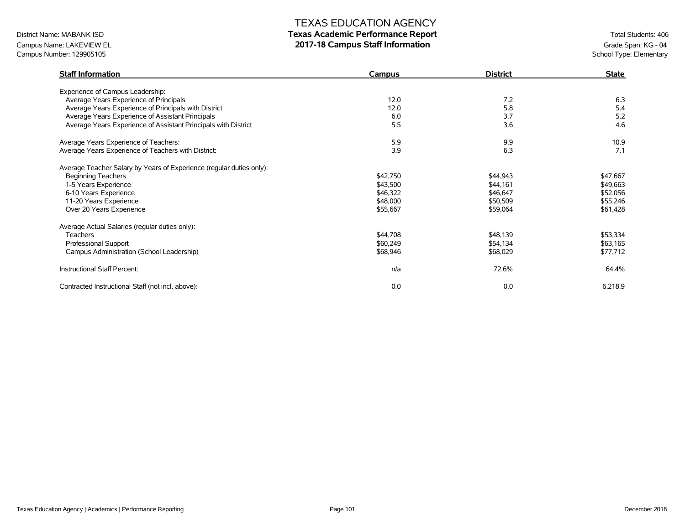# District Name: MABANK ISD **Texas Academic Performance Report Texas Academic Performance Report** Total Students: 406

Campus Name: LAKEVIEW EL **2017-18 Campus Staff Information**<br>Campus Number: 129905105 Campus Number: 129905105 Campus Number: 129905105

| <b>Staff Information</b>                                             | Campus   | <b>District</b> | <b>State</b> |
|----------------------------------------------------------------------|----------|-----------------|--------------|
| Experience of Campus Leadership:                                     |          |                 |              |
| Average Years Experience of Principals                               | 12.0     | 7.2             | 6.3          |
| Average Years Experience of Principals with District                 | 12.0     | 5.8             | 5.4          |
| Average Years Experience of Assistant Principals                     | 6.0      | 3.7             | 5.2          |
| Average Years Experience of Assistant Principals with District       | 5.5      | 3.6             | 4.6          |
| Average Years Experience of Teachers:                                | 5.9      | 9.9             | 10.9         |
| Average Years Experience of Teachers with District:                  | 3.9      | 6.3             | 7.1          |
| Average Teacher Salary by Years of Experience (regular duties only): |          |                 |              |
| <b>Beginning Teachers</b>                                            | \$42,750 | \$44,943        | \$47,667     |
| 1-5 Years Experience                                                 | \$43,500 | \$44,161        | \$49,663     |
| 6-10 Years Experience                                                | \$46,322 | \$46,647        | \$52,056     |
| 11-20 Years Experience                                               | \$48,000 | \$50,509        | \$55,246     |
| Over 20 Years Experience                                             | \$55,667 | \$59,064        | \$61,428     |
| Average Actual Salaries (regular duties only):                       |          |                 |              |
| <b>Teachers</b>                                                      | \$44,708 | \$48,139        | \$53,334     |
| Professional Support                                                 | \$60,249 | \$54,134        | \$63,165     |
| Campus Administration (School Leadership)                            | \$68,946 | \$68,029        | \$77,712     |
| Instructional Staff Percent:                                         | n/a      | 72.6%           | 64.4%        |
| Contracted Instructional Staff (not incl. above):                    | 0.0      | 0.0             | 6,218.9      |